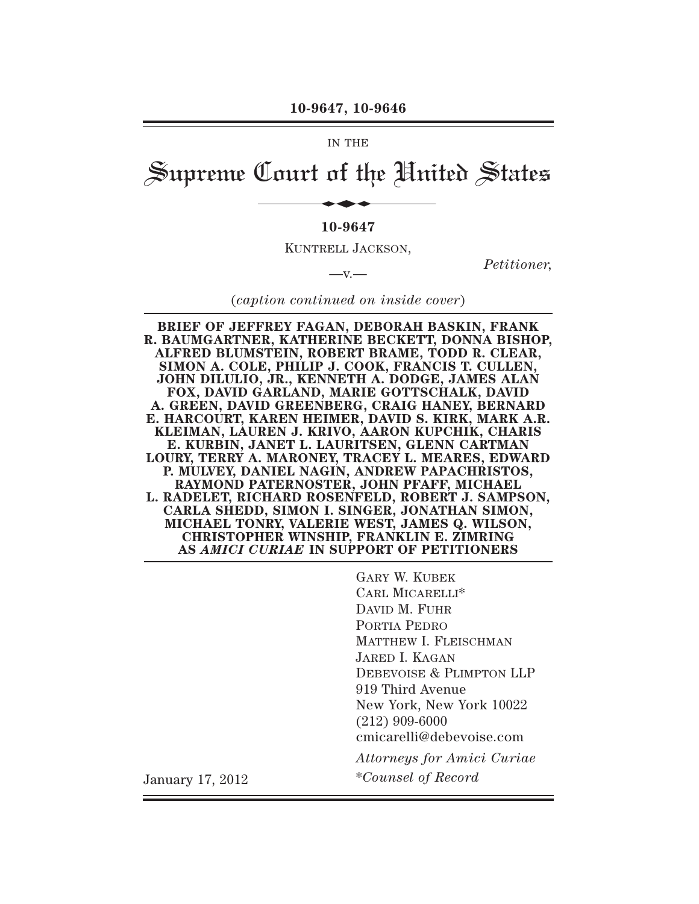#### **10-9647, 10-9646**

#### IN THE

# Supreme Court of the United States 10-9647, 10-9646<br>
IN THE<br> **Jourt of the Hni**<br>
10-9647

#### **10-9647**

KUNTRELL JACKSON,

 $-v -$ 

*Petitioner,*

(*caption continued on inside cover*)

**BRIEF OF JEFFREY FAGAN, DEBORAH BASKIN, FRANK R. BAUMGARTNER, KATHERINE BECKETT, DONNA BISHOP, ALFRED BLUMSTEIN, ROBERT BRAME, TODD R. CLEAR, SIMON A. COLE, PHILIP J. COOK, FRANCIS T. CULLEN, JOHN DILULIO, JR., KENNETH A. DODGE, JAMES ALAN FOX, DAVID GARLAND, MARIE GOTTSCHALK, DAVID A. GREEN, DAVID GREENBERG, CRAIG HANEY, BERNARD E. HARCOURT, KAREN HEIMER, DAVID S. KIRK, MARK A.R. KLEIMAN, LAUREN J. KRIVO, AARON KUPCHIK, CHARIS E. KURBIN, JANET L. LAURITSEN, GLENN CARTMAN LOURY, TERRY A. MARONEY, TRACEY L. MEARES, EDWARD P. MULVEY, DANIEL NAGIN, ANDREW PAPACHRISTOS, RAYMOND PATERNOSTER, JOHN PFAFF, MICHAEL L. RADELET, RICHARD ROSENFELD, ROBERT J. SAMPSON, CARLA SHEDD, SIMON I. SINGER, JONATHAN SIMON, MICHAEL TONRY, VALERIE WEST, JAMES Q. WILSON, CHRISTOPHER WINSHIP, FRANKLIN E. ZIMRING AS** *AMICI CURIAE* **IN SUPPORT OF PETITIONERS**

GARY W. KUBEK CARL MICARELLI\* DAVID M. FUHR PORTIA PEDRO MATTHEW I. FLEISCHMAN JARED I. KAGAN DEBEVOISE & PLIMPTON LLP 919 Third Avenue New York, New York 10022 (212) 909-6000 cmicarelli@debevoise.com *Attorneys for Amici Curiae* January 17, 2012 \**Counsel of Record*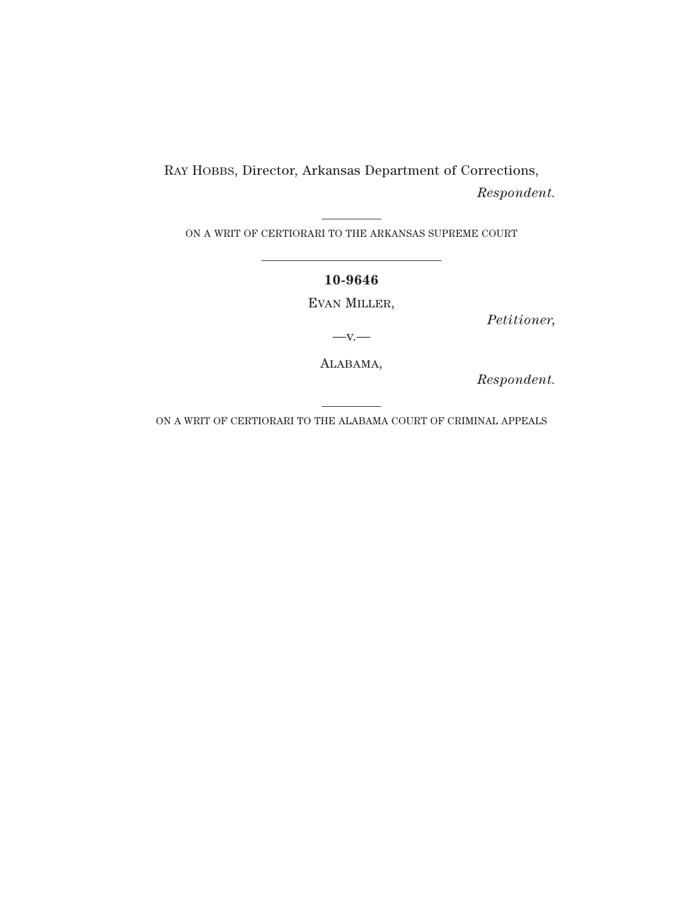RAY HOBBS, Director, Arkansas Department of Corrections, *Respondent.*

ON A WRIT OF CERTIORARI TO THE ARKANSAS SUPREME COURT

#### **10-9646**

EVAN MILLER,

*Petitioner,*

 $-V.$ —

ALABAMA,

*Respondent.*

ON A WRIT OF CERTIORARI TO THE ALABAMA COURT OF CRIMINAL APPEALS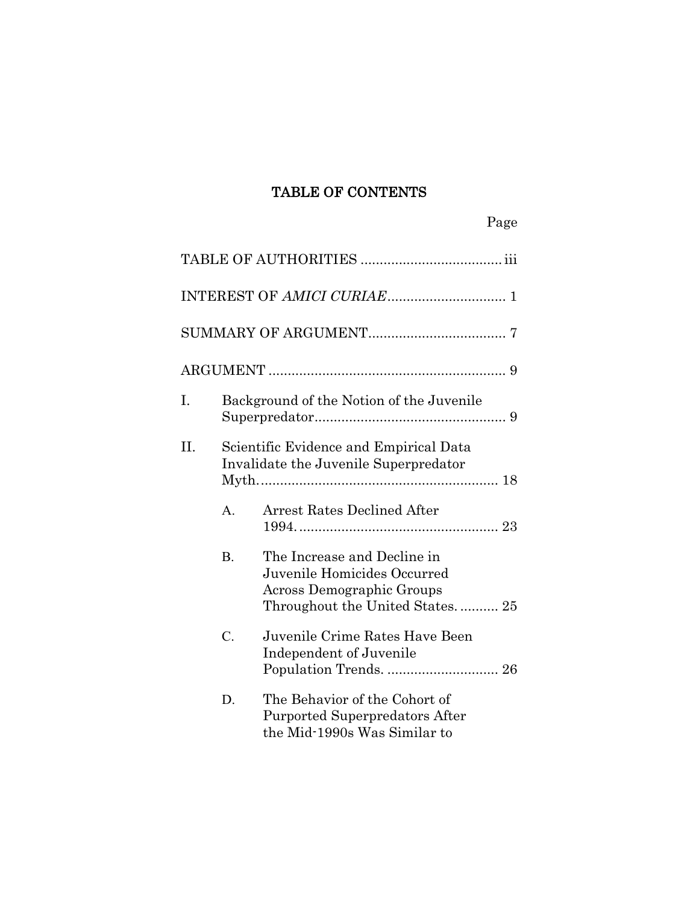# TABLE OF CONTENTS

| I.  |                 | Background of the Notion of the Juvenile                                                                                   |
|-----|-----------------|----------------------------------------------------------------------------------------------------------------------------|
| II. |                 | Scientific Evidence and Empirical Data<br>Invalidate the Juvenile Superpredator                                            |
|     | $A_{\cdot}$     | <b>Arrest Rates Declined After</b>                                                                                         |
|     | B <sub>1</sub>  | The Increase and Decline in<br>Juvenile Homicides Occurred<br>Across Demographic Groups<br>Throughout the United States 25 |
|     | $\mathcal{C}$ . | Juvenile Crime Rates Have Been<br>Independent of Juvenile                                                                  |
|     | D.              | The Behavior of the Cohort of<br>Purported Superpredators After<br>the Mid-1990s Was Similar to                            |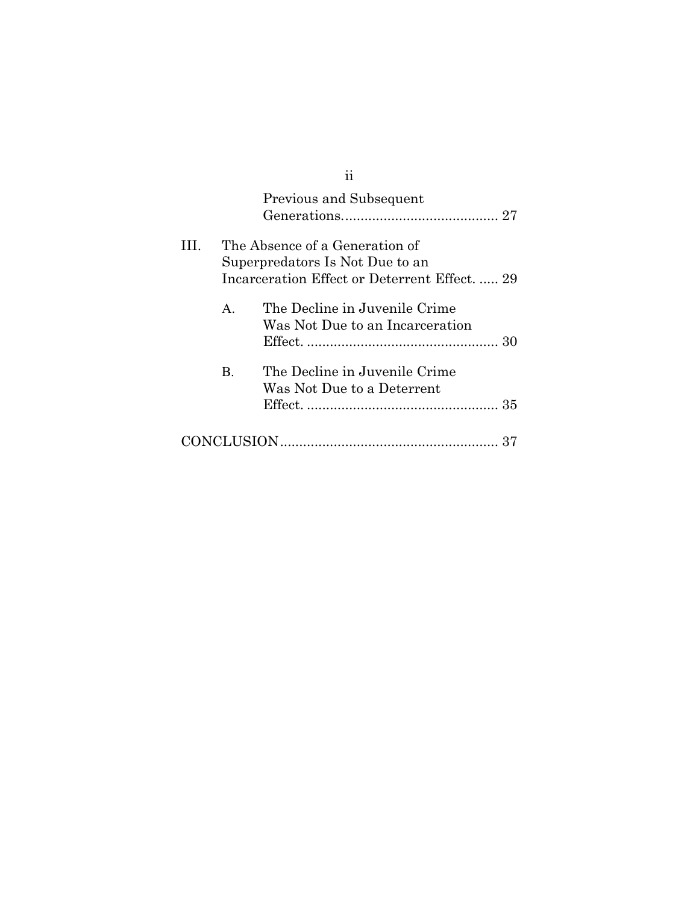|   |              | 11                                                                                                                 |    |
|---|--------------|--------------------------------------------------------------------------------------------------------------------|----|
|   |              | Previous and Subsequent                                                                                            |    |
| Ш |              | The Absence of a Generation of<br>Superpredators Is Not Due to an<br>Incarceration Effect or Deterrent Effect.  29 |    |
|   | $\mathsf{A}$ | The Decline in Juvenile Crime<br>Was Not Due to an Incarceration                                                   |    |
|   | B.           | The Decline in Juvenile Crime<br>Was Not Due to a Deterrent                                                        |    |
|   |              |                                                                                                                    | 37 |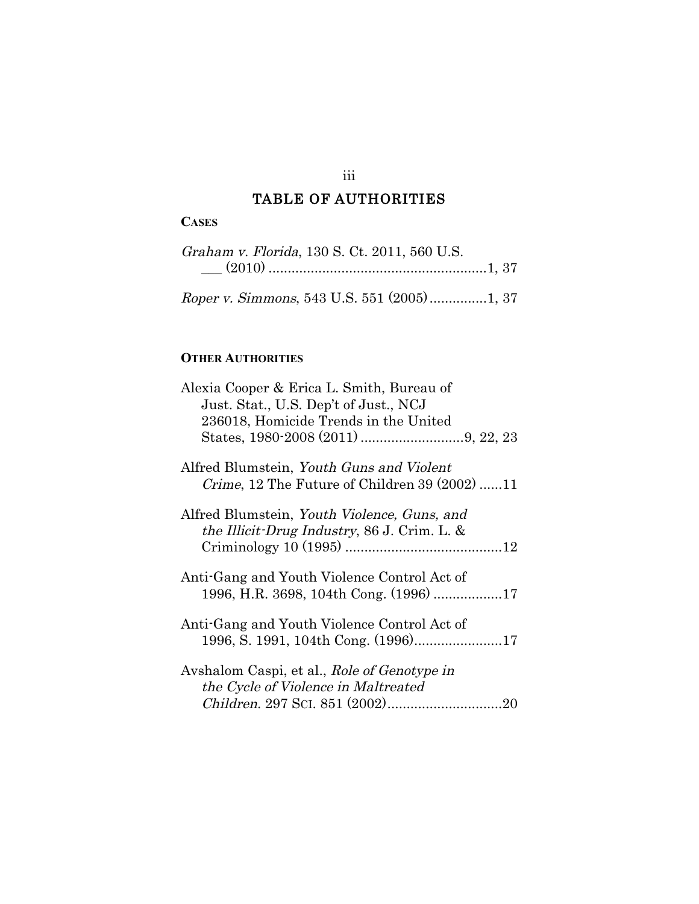# TABLE OF AUTHORITIES

## **CASES**

| Graham v. Florida, 130 S. Ct. 2011, 560 U.S. |  |  |
|----------------------------------------------|--|--|
|                                              |  |  |
|                                              |  |  |

Roper v. Simmons, 543 U.S. 551 (2005)...............1, 37

# **OTHER AUTHORITIES**

| Alexia Cooper & Erica L. Smith, Bureau of<br>Just. Stat., U.S. Dep't of Just., NCJ            |
|-----------------------------------------------------------------------------------------------|
| 236018, Homicide Trends in the United                                                         |
|                                                                                               |
| Alfred Blumstein, Youth Guns and Violent<br>Crime, 12 The Future of Children 39 (2002) 11     |
| Alfred Blumstein, Youth Violence, Guns, and<br>the Illicit-Drug Industry, 86 J. Crim. L. $\&$ |
| Anti-Gang and Youth Violence Control Act of                                                   |
| Anti-Gang and Youth Violence Control Act of                                                   |
| Avshalom Caspi, et al., Role of Genotype in<br>the Cycle of Violence in Maltreated            |

#### iii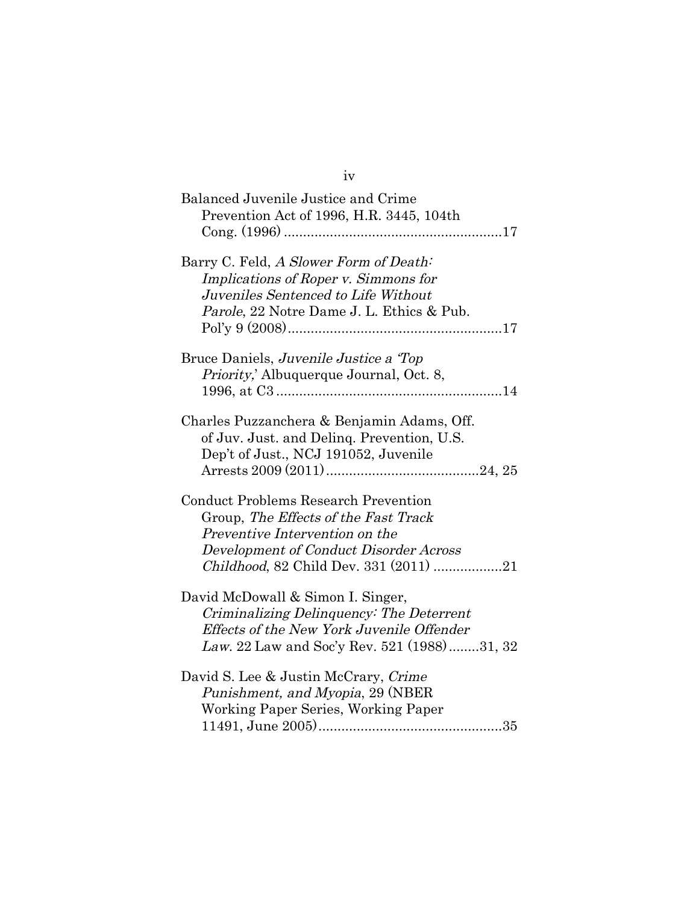| Balanced Juvenile Justice and Crime<br>Prevention Act of 1996, H.R. 3445, 104th                                                                                                                           |
|-----------------------------------------------------------------------------------------------------------------------------------------------------------------------------------------------------------|
| Barry C. Feld, A Slower Form of Death:<br>Implications of Roper v. Simmons for<br>Juveniles Sentenced to Life Without<br>Parole, 22 Notre Dame J. L. Ethics & Pub.                                        |
| Bruce Daniels, Juvenile Justice a Top<br><i>Priority</i> ,' Albuquerque Journal, Oct. 8,                                                                                                                  |
| Charles Puzzanchera & Benjamin Adams, Off.<br>of Juv. Just. and Deling. Prevention, U.S.<br>Dep't of Just., NCJ 191052, Juvenile                                                                          |
| <b>Conduct Problems Research Prevention</b><br>Group, The Effects of the Fast Track<br>Preventive Intervention on the<br>Development of Conduct Disorder Across<br>Childhood, 82 Child Dev. 331 (2011) 21 |
| David McDowall & Simon I. Singer,<br>Criminalizing Delinquency: The Deterrent<br>Effects of the New York Juvenile Offender<br>Law. 22 Law and Soc'y Rev. 521 (1988)31, 32                                 |
| David S. Lee & Justin McCrary, Crime<br>Punishment, and Myopia, 29 (NBER<br>Working Paper Series, Working Paper                                                                                           |

iv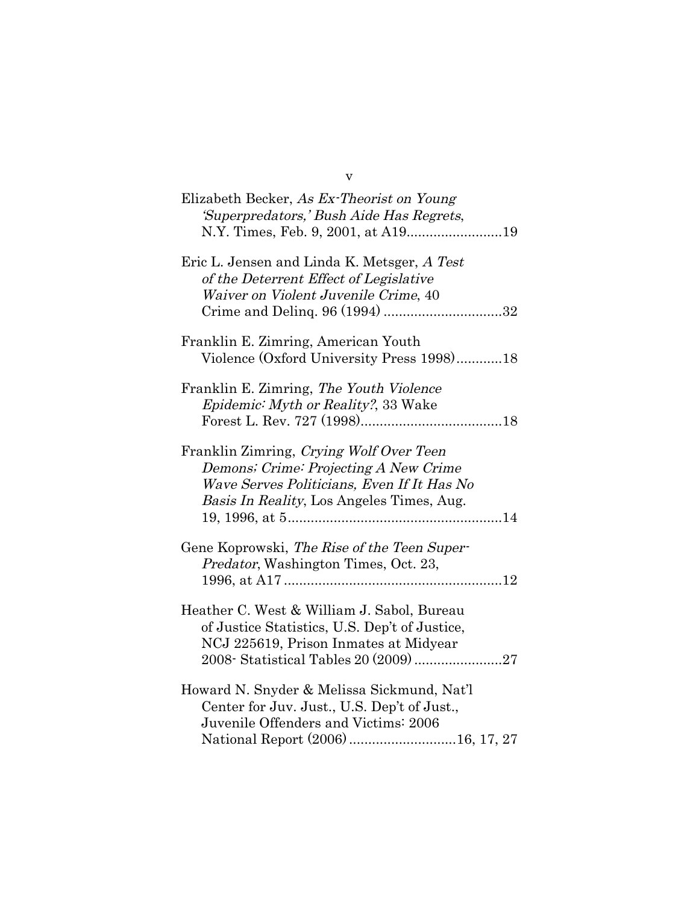| Elizabeth Becker, As Ex-Theorist on Young<br>'Superpredators,' Bush Aide Has Regrets,<br>N.Y. Times, Feb. 9, 2001, at A1919                                                  |
|------------------------------------------------------------------------------------------------------------------------------------------------------------------------------|
| Eric L. Jensen and Linda K. Metsger, A Test<br>of the Deterrent Effect of Legislative<br>Waiver on Violent Juvenile Crime, 40                                                |
| Franklin E. Zimring, American Youth<br>Violence (Oxford University Press 1998)18                                                                                             |
| Franklin E. Zimring, The Youth Violence<br>Epidemic: Myth or Reality?, 33 Wake                                                                                               |
| Franklin Zimring, Crying Wolf Over Teen<br>Demons; Crime: Projecting A New Crime<br>Wave Serves Politicians, Even If It Has No<br>Basis In Reality, Los Angeles Times, Aug.  |
| Gene Koprowski, The Rise of the Teen Super-<br><i>Predator</i> , Washington Times, Oct. 23,                                                                                  |
| Heather C. West & William J. Sabol, Bureau<br>of Justice Statistics, U.S. Dep't of Justice,<br>NCJ 225619, Prison Inmates at Midyear<br>2008 Statistical Tables 20 (2009) 27 |
| Howard N. Snyder & Melissa Sickmund, Nat'l<br>Center for Juv. Just., U.S. Dep't of Just.,<br>Juvenile Offenders and Victims: 2006                                            |

v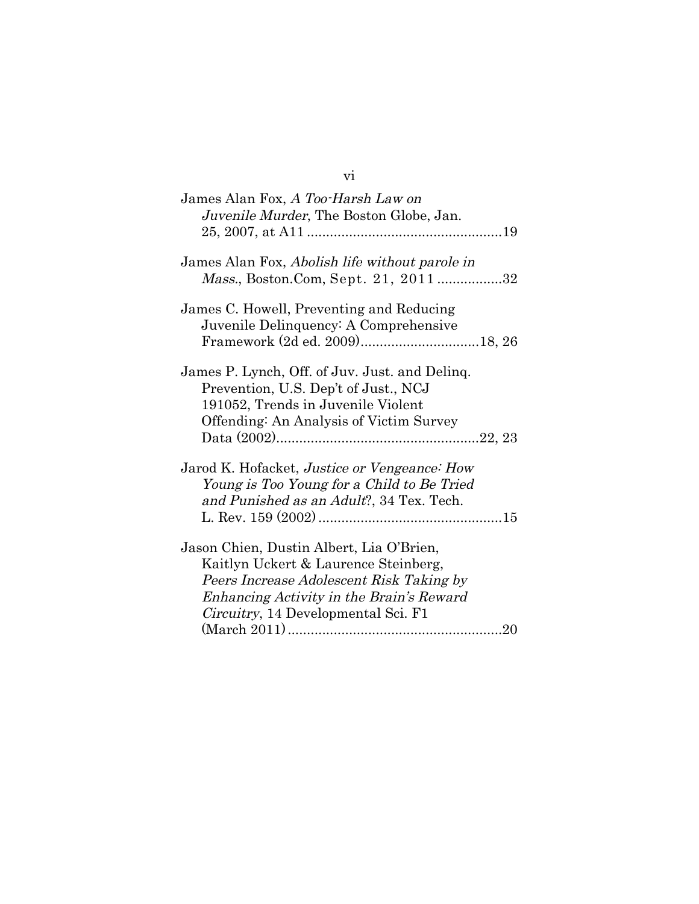| James Alan Fox, A Too-Harsh Law on<br>Juvenile Murder, The Boston Globe, Jan.                                                                                                                                           |
|-------------------------------------------------------------------------------------------------------------------------------------------------------------------------------------------------------------------------|
| James Alan Fox, Abolish life without parole in<br>Mass., Boston.Com, Sept. 21, 201132                                                                                                                                   |
| James C. Howell, Preventing and Reducing<br>Juvenile Delinquency: A Comprehensive                                                                                                                                       |
| James P. Lynch, Off. of Juv. Just. and Delinq.<br>Prevention, U.S. Dep't of Just., NCJ<br>191052, Trends in Juvenile Violent<br>Offending: An Analysis of Victim Survey                                                 |
| Jarod K. Hofacket, <i>Justice or Vengeance: How</i><br>Young is Too Young for a Child to Be Tried<br>and Punished as an Adult?, 34 Tex. Tech.                                                                           |
| Jason Chien, Dustin Albert, Lia O'Brien,<br>Kaitlyn Uckert & Laurence Steinberg,<br>Peers Increase Adolescent Risk Taking by<br>Enhancing Activity in the Brain's Reward<br><i>Circuitry</i> , 14 Developmental Sci. F1 |

vi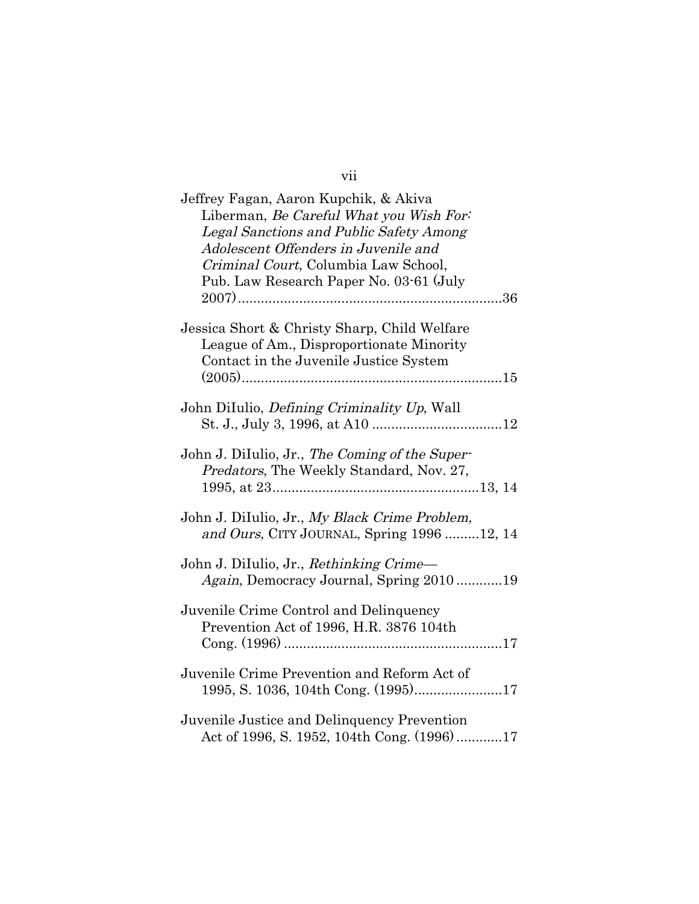| Jeffrey Fagan, Aaron Kupchik, & Akiva<br>Liberman, Be Careful What you Wish For:<br>Legal Sanctions and Public Safety Among<br>Adolescent Offenders in Juvenile and<br>Criminal Court, Columbia Law School, |
|-------------------------------------------------------------------------------------------------------------------------------------------------------------------------------------------------------------|
| Pub. Law Research Paper No. 03-61 (July                                                                                                                                                                     |
| Jessica Short & Christy Sharp, Child Welfare<br>League of Am., Disproportionate Minority<br>Contact in the Juvenile Justice System                                                                          |
| John DiIulio, <i>Defining Criminality Up</i> , Wall                                                                                                                                                         |
| John J. DiIulio, Jr., The Coming of the Super-<br>Predators, The Weekly Standard, Nov. 27,                                                                                                                  |
| John J. DiIulio, Jr., My Black Crime Problem,<br>and Ours, CITY JOURNAL, Spring 1996 12, 14                                                                                                                 |
| John J. DiIulio, Jr., Rethinking Crime-<br>Again, Democracy Journal, Spring 201019                                                                                                                          |
| Juvenile Crime Control and Delinquency<br>Prevention Act of 1996, H.R. 3876 104th                                                                                                                           |
| Juvenile Crime Prevention and Reform Act of<br>1995, S. 1036, 104th Cong. (1995)17                                                                                                                          |
| Juvenile Justice and Delinquency Prevention<br>Act of 1996, S. 1952, 104th Cong. (1996)17                                                                                                                   |

vii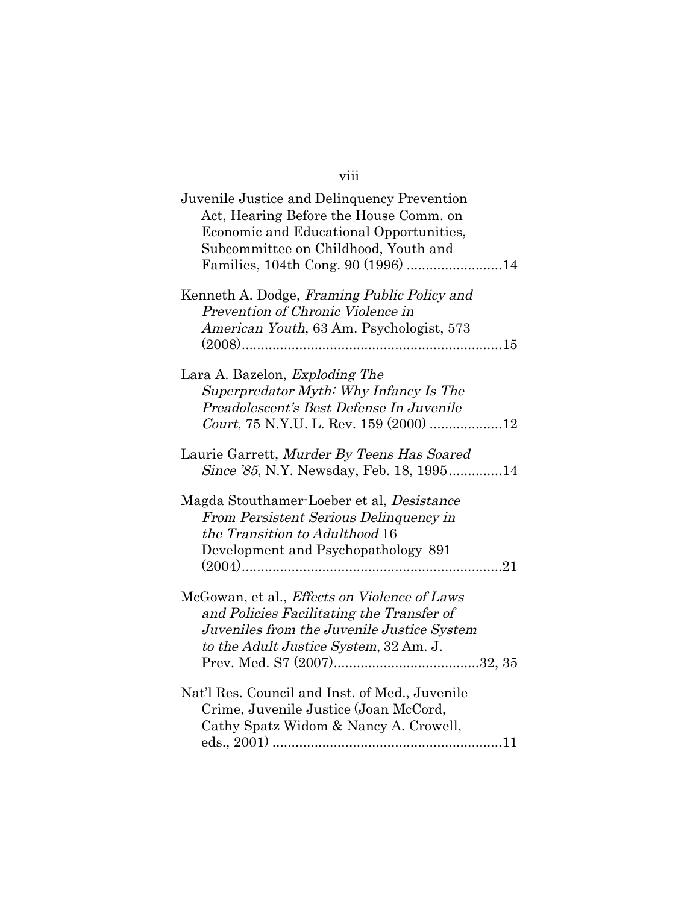| ר דו |  |
|------|--|
|      |  |
|      |  |
|      |  |

| Juvenile Justice and Delinquency Prevention<br>Act, Hearing Before the House Comm. on<br>Economic and Educational Opportunities,<br>Subcommittee on Childhood, Youth and<br>Families, 104th Cong. 90 (1996) 14 |
|----------------------------------------------------------------------------------------------------------------------------------------------------------------------------------------------------------------|
| Kenneth A. Dodge, Framing Public Policy and<br>Prevention of Chronic Violence in<br>American Youth, 63 Am. Psychologist, 573                                                                                   |
| Lara A. Bazelon, <i>Exploding The</i><br>Superpredator Myth: Why Infancy Is The<br>Preadolescent's Best Defense In Juvenile                                                                                    |
| Laurie Garrett, Murder By Teens Has Soared<br>Since '85, N.Y. Newsday, Feb. 18, 199514                                                                                                                         |
| Magda Stouthamer-Loeber et al, Desistance<br>From Persistent Serious Delinquency in<br>the Transition to Adulthood 16<br>Development and Psychopathology 891                                                   |
| McGowan, et al., <i>Effects on Violence of Laws</i><br>and Policies Facilitating the Transfer of<br>Juveniles from the Juvenile Justice System<br>to the Adult Justice System, 32 Am. J.                       |
| Nat'l Res. Council and Inst. of Med., Juvenile<br>Crime, Juvenile Justice (Joan McCord,<br>Cathy Spatz Widom & Nancy A. Crowell,                                                                               |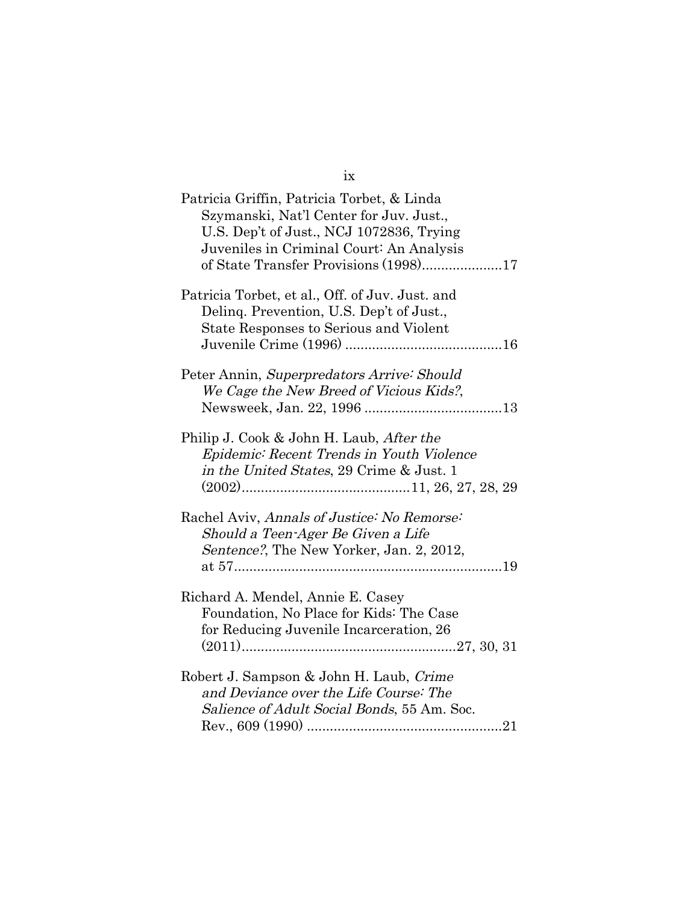| Patricia Griffin, Patricia Torbet, & Linda<br>Szymanski, Nat'l Center for Juv. Just.,<br>U.S. Dep't of Just., NCJ 1072836, Trying<br>Juveniles in Criminal Court: An Analysis |
|-------------------------------------------------------------------------------------------------------------------------------------------------------------------------------|
| Patricia Torbet, et al., Off. of Juv. Just. and<br>Deling. Prevention, U.S. Dep't of Just.,<br>State Responses to Serious and Violent                                         |
| Peter Annin, Superpredators Arrive: Should<br>We Cage the New Breed of Vicious Kids?,                                                                                         |
| Philip J. Cook & John H. Laub, <i>After the</i><br>Epidemic: Recent Trends in Youth Violence<br>in the United States, 29 Crime & Just. 1                                      |
| Rachel Aviv, Annals of Justice: No Remorse:<br>Should a Teen-Ager Be Given a Life<br>Sentence?, The New Yorker, Jan. 2, 2012,                                                 |
| Richard A. Mendel, Annie E. Casey<br>Foundation, No Place for Kids: The Case<br>for Reducing Juvenile Incarceration, 26                                                       |
| Robert J. Sampson & John H. Laub, Crime<br>and Deviance over the Life Course: The<br>Salience of Adult Social Bonds, 55 Am. Soc.                                              |

ix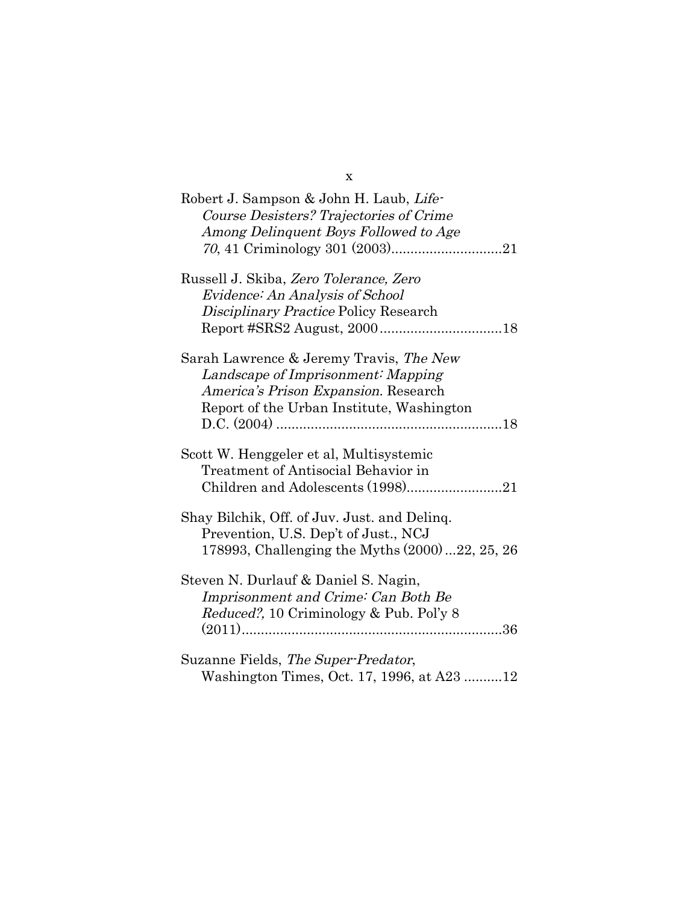| Robert J. Sampson & John H. Laub, Life-<br>Course Desisters? Trajectories of Crime |
|------------------------------------------------------------------------------------|
| Among Delinquent Boys Followed to Age                                              |
|                                                                                    |
| Russell J. Skiba, Zero Tolerance, Zero                                             |
| Evidence: An Analysis of School                                                    |
| Disciplinary Practice Policy Research                                              |
|                                                                                    |
| Sarah Lawrence & Jeremy Travis, The New                                            |
| Landscape of Imprisonment: Mapping                                                 |
| America's Prison Expansion. Research                                               |
| Report of the Urban Institute, Washington                                          |
|                                                                                    |
| Scott W. Henggeler et al, Multisystemic                                            |
| Treatment of Antisocial Behavior in                                                |
|                                                                                    |
|                                                                                    |
| Shay Bilchik, Off. of Juv. Just. and Deling.                                       |
| Prevention, U.S. Dep't of Just., NCJ                                               |
| 178993, Challenging the Myths (2000)  22, 25, 26                                   |
| Steven N. Durlauf & Daniel S. Nagin,                                               |
| Imprisonment and Crime: Can Both Be                                                |
| Reduced?, 10 Criminology & Pub. Pol'y 8                                            |
|                                                                                    |
| Suzanne Fields, The Super-Predator,                                                |
| Washington Times, Oct. 17, 1996, at A23 12                                         |

x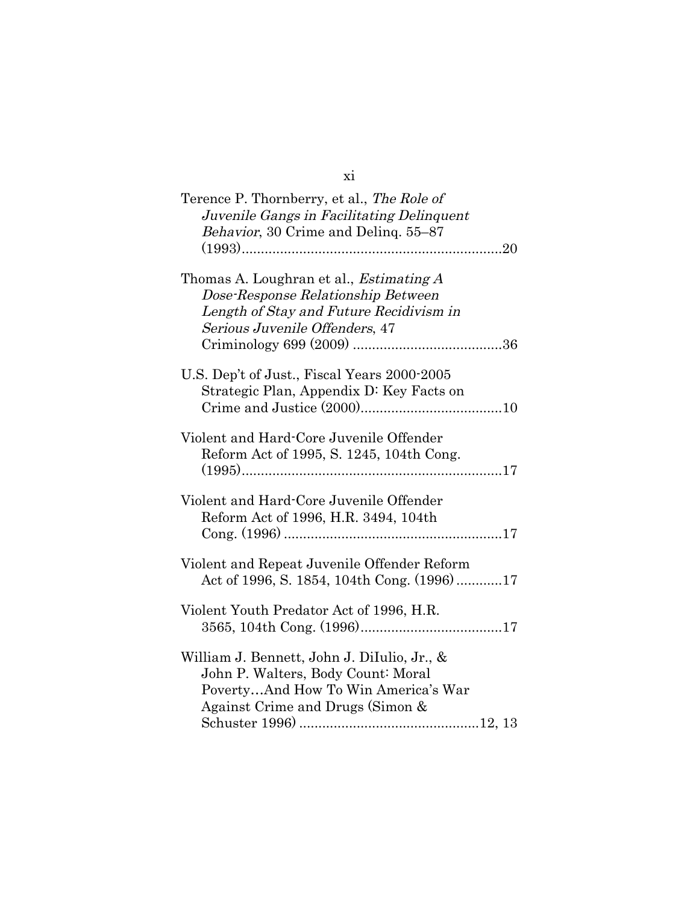| Terence P. Thornberry, et al., The Role of<br>Juvenile Gangs in Facilitating Delinquent<br>Behavior, 30 Crime and Deling. 55-87                                   |
|-------------------------------------------------------------------------------------------------------------------------------------------------------------------|
|                                                                                                                                                                   |
| Thomas A. Loughran et al., <i>Estimating A</i><br>Dose-Response Relationship Between<br>Length of Stay and Future Recidivism in<br>Serious Juvenile Offenders, 47 |
|                                                                                                                                                                   |
| U.S. Dep't of Just., Fiscal Years 2000-2005<br>Strategic Plan, Appendix D: Key Facts on                                                                           |
| Violent and Hard-Core Juvenile Offender<br>Reform Act of 1995, S. 1245, 104th Cong.                                                                               |
| Violent and Hard-Core Juvenile Offender<br>Reform Act of 1996, H.R. 3494, 104th                                                                                   |
| Violent and Repeat Juvenile Offender Reform<br>Act of 1996, S. 1854, 104th Cong. (1996)17                                                                         |
| Violent Youth Predator Act of 1996, H.R.                                                                                                                          |
| William J. Bennett, John J. DiIulio, Jr., &<br>John P. Walters, Body Count: Moral<br>PovertyAnd How To Win America's War<br>Against Crime and Drugs (Simon &      |

xi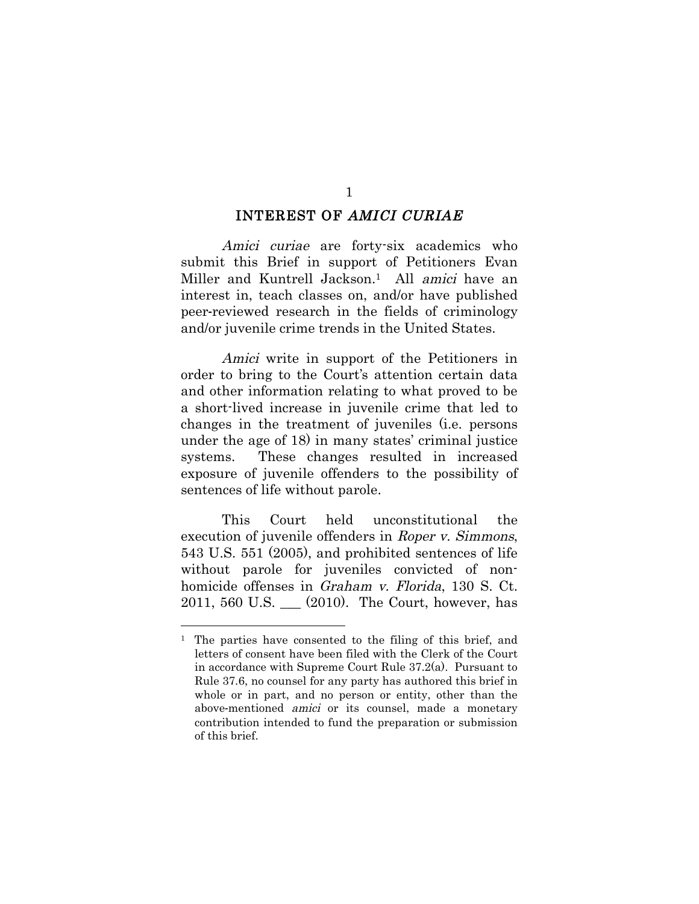#### INTEREST OF AMICI CURIAE

Amici curiae are forty-six academics who submit this Brief in support of Petitioners Evan Miller and Kuntrell Jackson.<sup>1</sup> All *amici* have an interest in, teach classes on, and/or have published peer-reviewed research in the fields of criminology and/or juvenile crime trends in the United States.

Amici write in support of the Petitioners in order to bring to the Court's attention certain data and other information relating to what proved to be a short-lived increase in juvenile crime that led to changes in the treatment of juveniles (i.e. persons under the age of 18) in many states' criminal justice systems. These changes resulted in increased exposure of juvenile offenders to the possibility of sentences of life without parole.

This Court held unconstitutional the execution of juvenile offenders in Roper v. Simmons, 543 U.S. 551 (2005), and prohibited sentences of life without parole for juveniles convicted of nonhomicide offenses in Graham v. Florida, 130 S. Ct. 2011, 560 U.S. \_\_\_ (2010). The Court, however, has

<sup>&</sup>lt;sup>1</sup> The parties have consented to the filing of this brief, and letters of consent have been filed with the Clerk of the Court in accordance with Supreme Court Rule 37.2(a). Pursuant to Rule 37.6, no counsel for any party has authored this brief in whole or in part, and no person or entity, other than the above-mentioned amici or its counsel, made a monetary contribution intended to fund the preparation or submission of this brief.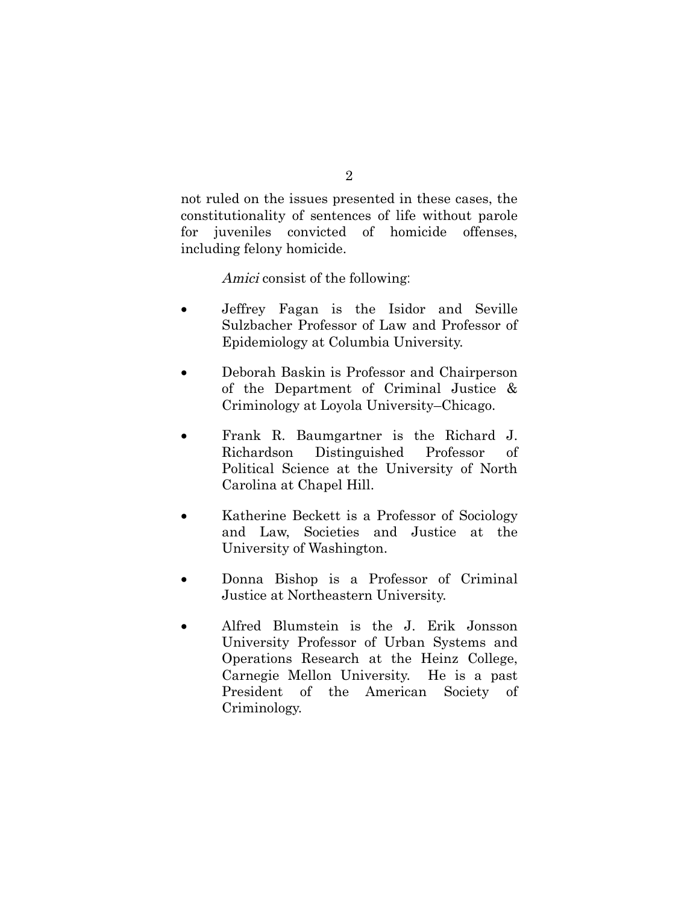not ruled on the issues presented in these cases, the constitutionality of sentences of life without parole for juveniles convicted of homicide offenses, including felony homicide.

Amici consist of the following:

- Jeffrey Fagan is the Isidor and Seville Sulzbacher Professor of Law and Professor of Epidemiology at Columbia University.
- Deborah Baskin is Professor and Chairperson of the Department of Criminal Justice & Criminology at Loyola University–Chicago.
- Frank R. Baumgartner is the Richard J. Richardson Distinguished Professor of Political Science at the University of North Carolina at Chapel Hill.
- Katherine Beckett is a Professor of Sociology and Law, Societies and Justice at the University of Washington.
- Donna Bishop is a Professor of Criminal Justice at Northeastern University.
- Alfred Blumstein is the J. Erik Jonsson University Professor of Urban Systems and Operations Research at the Heinz College, Carnegie Mellon University. He is a past President of the American Society of Criminology.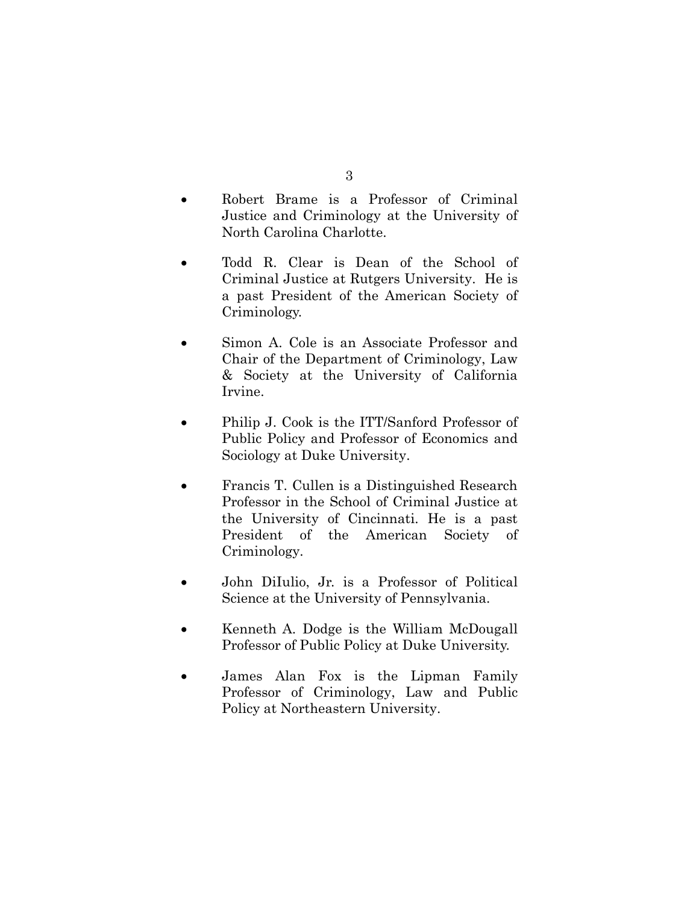- Robert Brame is a Professor of Criminal Justice and Criminology at the University of North Carolina Charlotte.
- Todd R. Clear is Dean of the School of Criminal Justice at Rutgers University. He is a past President of the American Society of Criminology.
- Simon A. Cole is an Associate Professor and Chair of the Department of Criminology, Law & Society at the University of California Irvine.
- Philip J. Cook is the ITT/Sanford Professor of Public Policy and Professor of Economics and Sociology at Duke University.
- Francis T. Cullen is a Distinguished Research Professor in the School of Criminal Justice at the University of Cincinnati. He is a past President of the American Society of Criminology.
- John DiIulio, Jr. is a Professor of Political Science at the University of Pennsylvania.
- Kenneth A. Dodge is the William McDougall Professor of Public Policy at Duke University.
- James Alan Fox is the Lipman Family Professor of Criminology, Law and Public Policy at Northeastern University.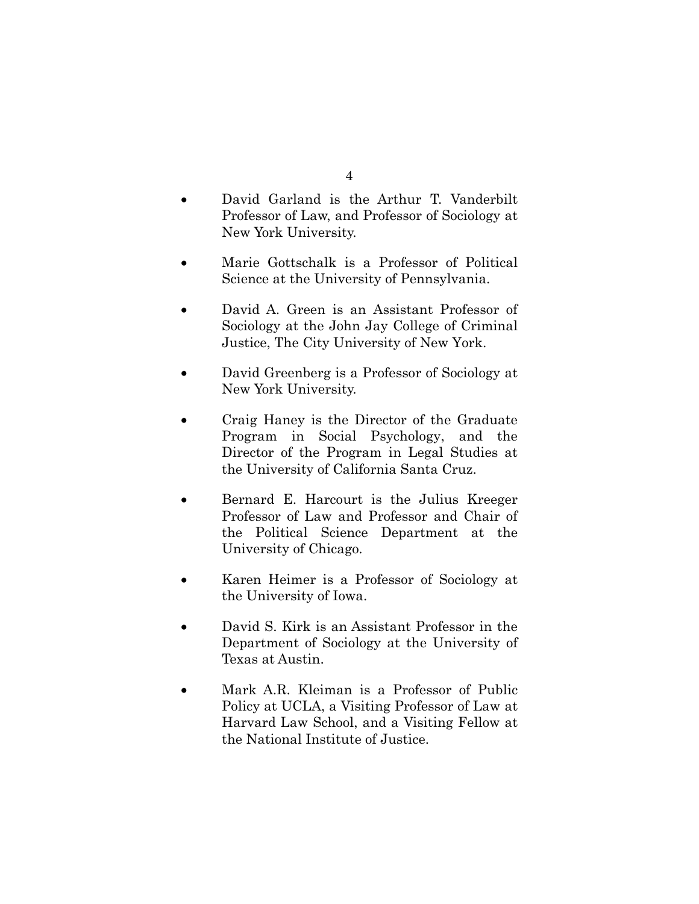- 4
- David Garland is the Arthur T. Vanderbilt Professor of Law, and Professor of Sociology at New York University.
- Marie Gottschalk is a Professor of Political Science at the University of Pennsylvania.
- David A. Green is an Assistant Professor of Sociology at the John Jay College of Criminal Justice, The City University of New York.
- David Greenberg is a Professor of Sociology at New York University.
- Craig Haney is the Director of the Graduate Program in Social Psychology, and the Director of the Program in Legal Studies at the University of California Santa Cruz.
- Bernard E. Harcourt is the Julius Kreeger Professor of Law and Professor and Chair of the Political Science Department at the University of Chicago.
- Karen Heimer is a Professor of Sociology at the University of Iowa.
- David S. Kirk is an Assistant Professor in the Department of Sociology at the University of Texas at Austin.
- Mark A.R. Kleiman is a Professor of Public Policy at UCLA, a Visiting Professor of Law at Harvard Law School, and a Visiting Fellow at the National Institute of Justice.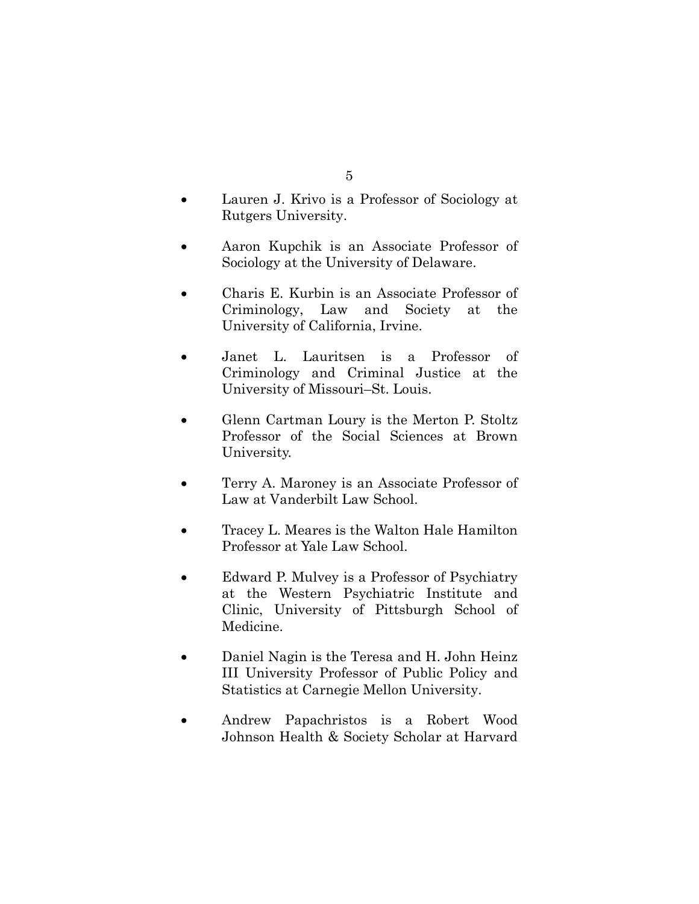- Lauren J. Krivo is a Professor of Sociology at Rutgers University.
- Aaron Kupchik is an Associate Professor of Sociology at the University of Delaware.
- Charis E. Kurbin is an Associate Professor of Criminology, Law and Society at the University of California, Irvine.
- Janet L. Lauritsen is a Professor of Criminology and Criminal Justice at the University of Missouri–St. Louis.
- Glenn Cartman Loury is the Merton P. Stoltz Professor of the Social Sciences at Brown University.
- Terry A. Maroney is an Associate Professor of Law at Vanderbilt Law School.
- Tracey L. Meares is the Walton Hale Hamilton Professor at Yale Law School.
- Edward P. Mulvey is a Professor of Psychiatry at the Western Psychiatric Institute and Clinic, University of Pittsburgh School of Medicine.
- Daniel Nagin is the Teresa and H. John Heinz III University Professor of Public Policy and Statistics at Carnegie Mellon University.
- Andrew Papachristos is a Robert Wood Johnson Health & Society Scholar at Harvard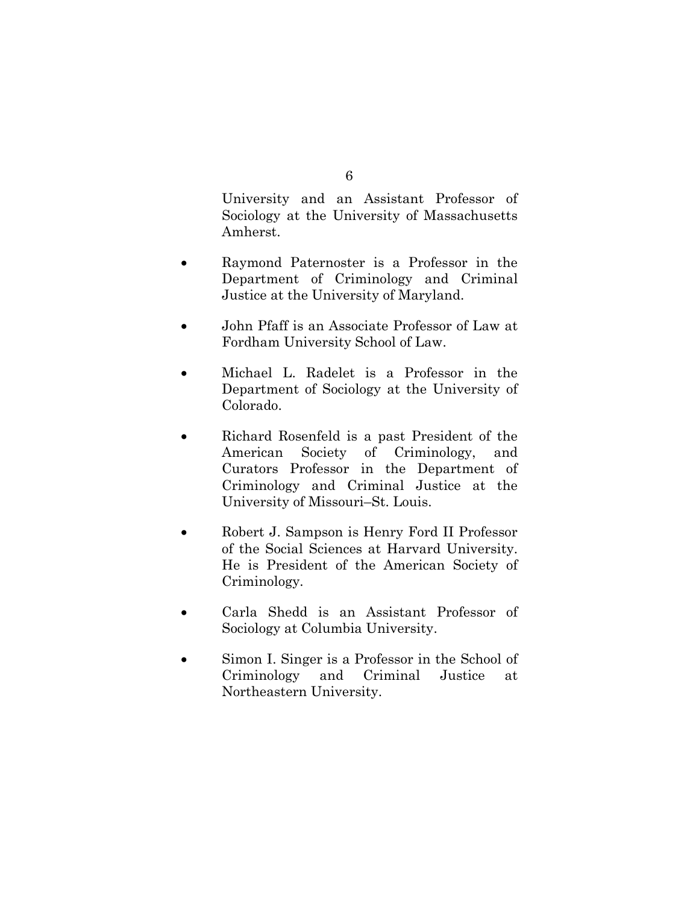University and an Assistant Professor of Sociology at the University of Massachusetts Amherst.

- Raymond Paternoster is a Professor in the Department of Criminology and Criminal Justice at the University of Maryland.
- John Pfaff is an Associate Professor of Law at Fordham University School of Law.
- Michael L. Radelet is a Professor in the Department of Sociology at the University of Colorado.
- Richard Rosenfeld is a past President of the American Society of Criminology, and Curators Professor in the Department of Criminology and Criminal Justice at the University of Missouri–St. Louis.
- Robert J. Sampson is Henry Ford II Professor of the Social Sciences at Harvard University. He is President of the American Society of Criminology.
- Carla Shedd is an Assistant Professor of Sociology at Columbia University.
- Simon I. Singer is a Professor in the School of Criminology and Criminal Justice at Northeastern University.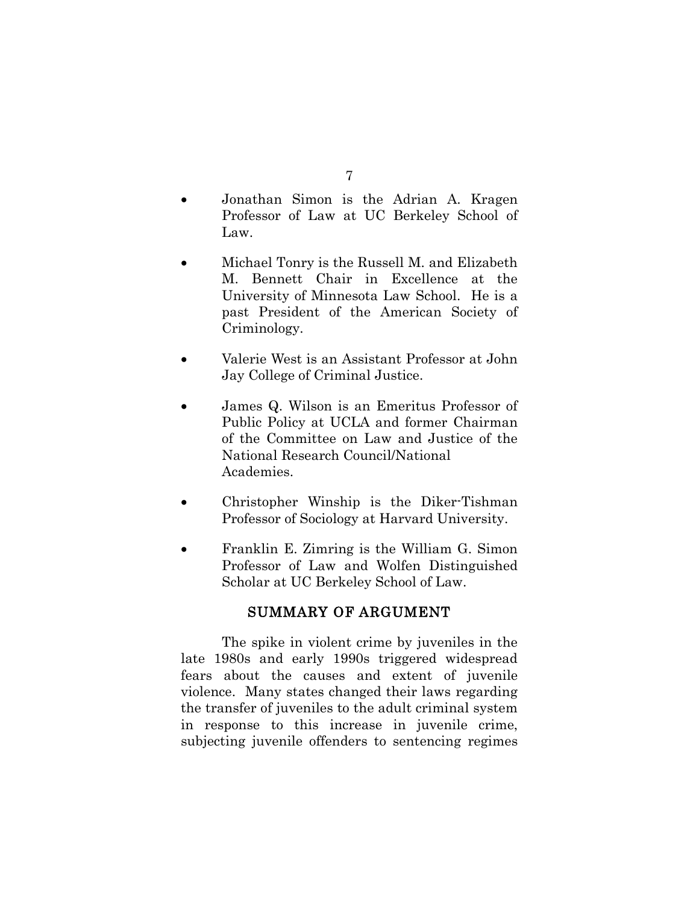- Jonathan Simon is the Adrian A. Kragen Professor of Law at UC Berkeley School of Law.
- Michael Tonry is the Russell M. and Elizabeth M. Bennett Chair in Excellence at the University of Minnesota Law School. He is a past President of the American Society of Criminology.
- Valerie West is an Assistant Professor at John Jay College of Criminal Justice.
- James Q. Wilson is an Emeritus Professor of Public Policy at UCLA and former Chairman of the Committee on Law and Justice of the National Research Council/National Academies.
- Christopher Winship is the Diker-Tishman Professor of Sociology at Harvard University.
- Franklin E. Zimring is the William G. Simon Professor of Law and Wolfen Distinguished Scholar at UC Berkeley School of Law.

# SUMMARY OF ARGUMENT

The spike in violent crime by juveniles in the late 1980s and early 1990s triggered widespread fears about the causes and extent of juvenile violence. Many states changed their laws regarding the transfer of juveniles to the adult criminal system in response to this increase in juvenile crime, subjecting juvenile offenders to sentencing regimes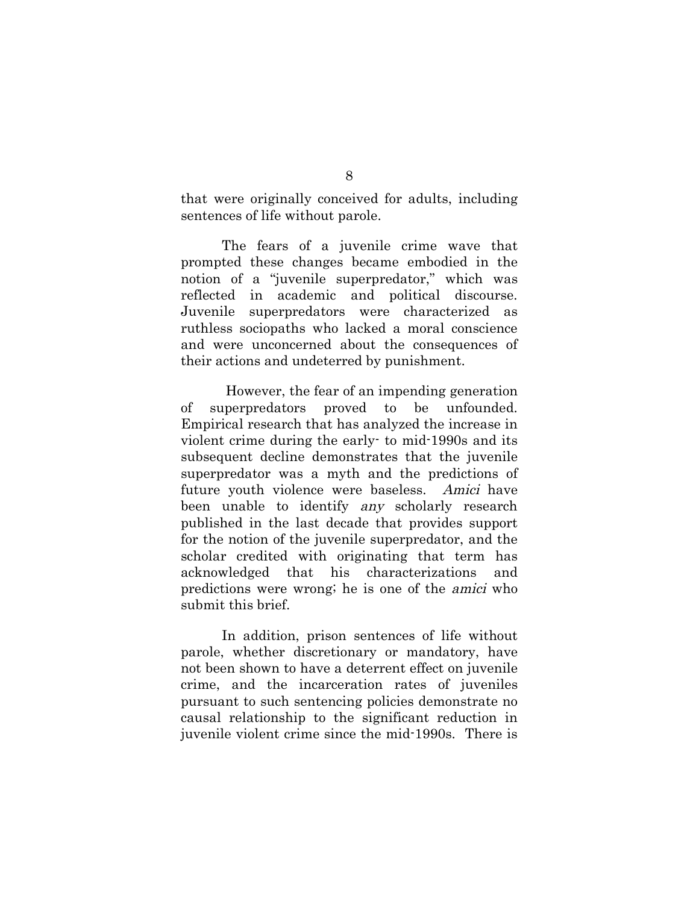that were originally conceived for adults, including sentences of life without parole.

The fears of a juvenile crime wave that prompted these changes became embodied in the notion of a "juvenile superpredator," which was reflected in academic and political discourse. Juvenile superpredators were characterized as ruthless sociopaths who lacked a moral conscience and were unconcerned about the consequences of their actions and undeterred by punishment.

However, the fear of an impending generation of superpredators proved to be unfounded. Empirical research that has analyzed the increase in violent crime during the early- to mid-1990s and its subsequent decline demonstrates that the juvenile superpredator was a myth and the predictions of future youth violence were baseless. Amici have been unable to identify any scholarly research published in the last decade that provides support for the notion of the juvenile superpredator, and the scholar credited with originating that term has acknowledged that his characterizations and predictions were wrong; he is one of the amici who submit this brief.

In addition, prison sentences of life without parole, whether discretionary or mandatory, have not been shown to have a deterrent effect on juvenile crime, and the incarceration rates of juveniles pursuant to such sentencing policies demonstrate no causal relationship to the significant reduction in juvenile violent crime since the mid-1990s. There is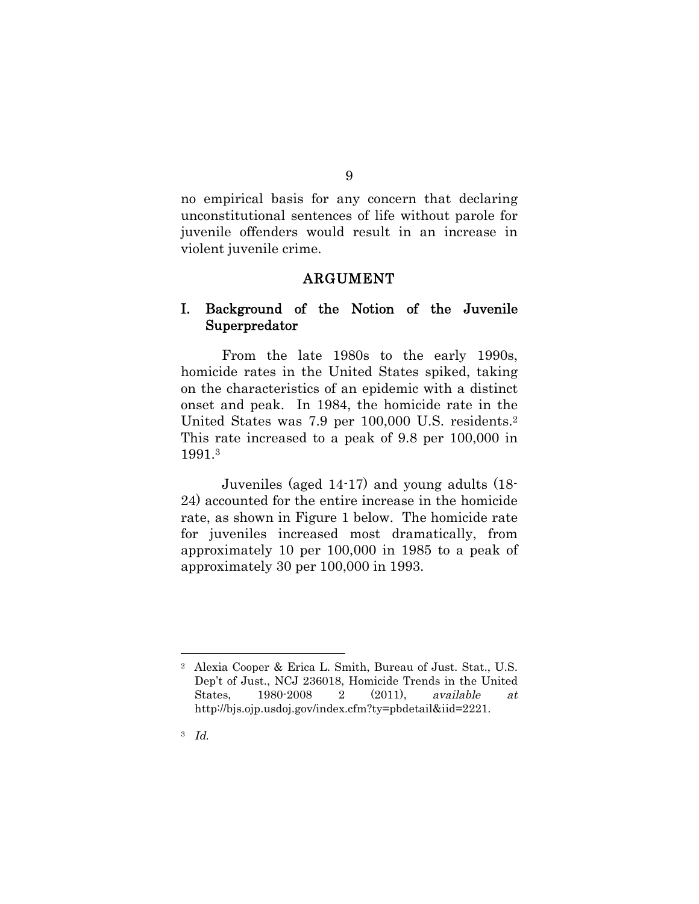no empirical basis for any concern that declaring unconstitutional sentences of life without parole for juvenile offenders would result in an increase in violent juvenile crime.

#### ARGUMENT

## I. Background of the Notion of the Juvenile Superpredator

From the late 1980s to the early 1990s, homicide rates in the United States spiked, taking on the characteristics of an epidemic with a distinct onset and peak. In 1984, the homicide rate in the United States was 7.9 per 100,000 U.S. residents.<sup>2</sup> This rate increased to a peak of 9.8 per 100,000 in 1991.<sup>3</sup>

Juveniles (aged 14-17) and young adults (18- 24) accounted for the entire increase in the homicide rate, as shown in Figure 1 below. The homicide rate for juveniles increased most dramatically, from approximately 10 per 100,000 in 1985 to a peak of approximately 30 per 100,000 in 1993.

<sup>2</sup> Alexia Cooper & Erica L. Smith, Bureau of Just. Stat., U.S. Dep't of Just., NCJ 236018, Homicide Trends in the United States, 1980-2008 2 (2011), available at http://bjs.ojp.usdoj.gov/index.cfm?ty=pbdetail&iid=2221.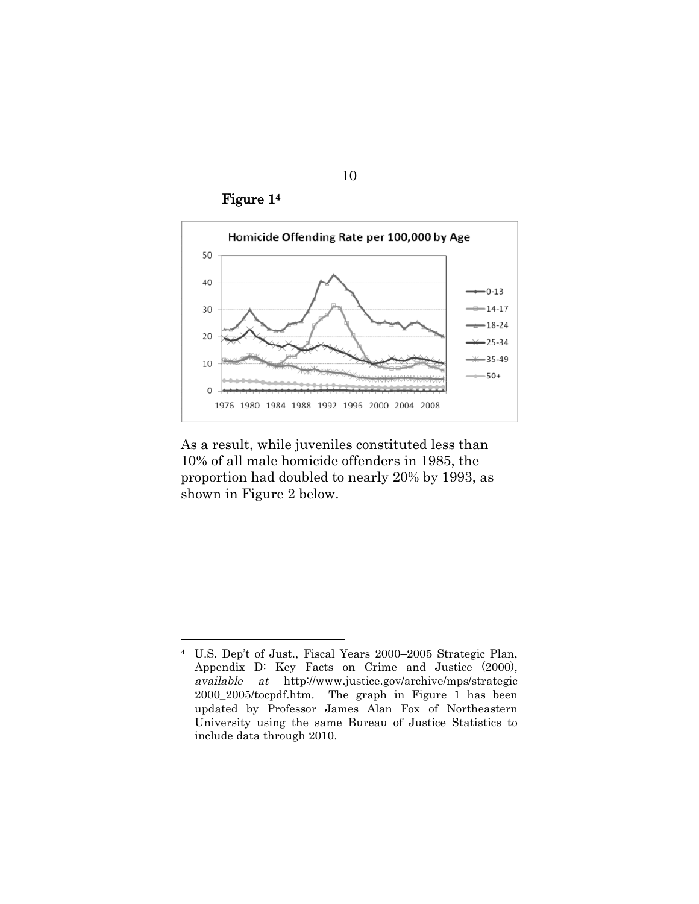Figure 1<sup>4</sup>



As a result, while juveniles constituted less than 10% of all male homicide offenders in 1985, the proportion had doubled to nearly 20% by 1993, as shown in Figure 2 below.

<sup>4</sup> U.S. Dep't of Just., Fiscal Years 2000–2005 Strategic Plan, Appendix D: Key Facts on Crime and Justice (2000), available at http://www.justice.gov/archive/mps/strategic 2000\_2005/tocpdf.htm. The graph in Figure 1 has been updated by Professor James Alan Fox of Northeastern University using the same Bureau of Justice Statistics to include data through 2010.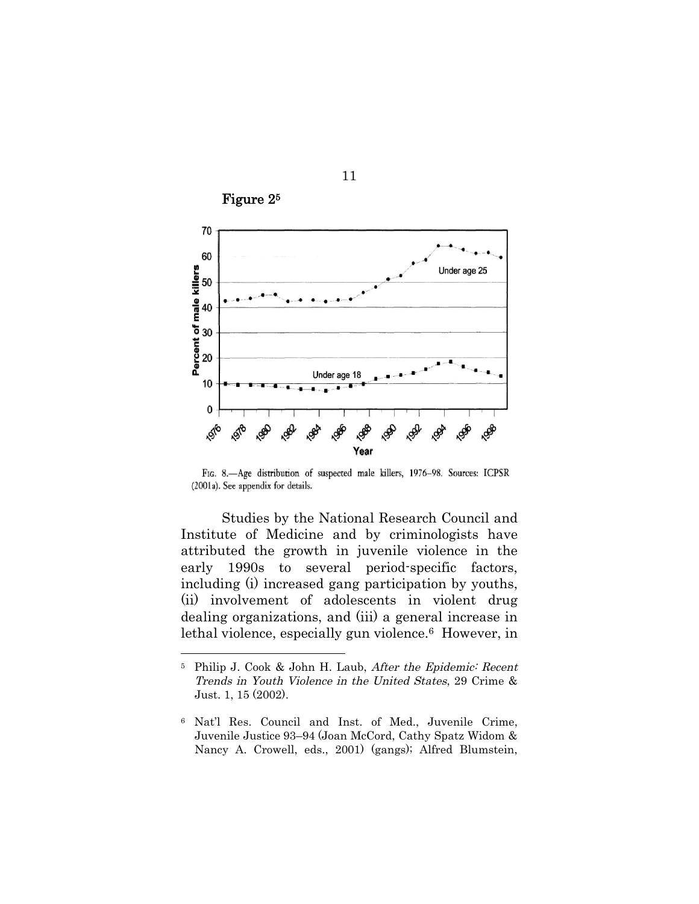

11

Figure 2<sup>5</sup>

FIG. 8.-Age distribution of suspected male killers, 1976-98. Sources: ICPSR

(2001a). See appendix for details.

Studies by the National Research Council and Institute of Medicine and by criminologists have attributed the growth in juvenile violence in the early 1990s to several period-specific factors, including (i) increased gang participation by youths, (ii) involvement of adolescents in violent drug dealing organizations, and (iii) a general increase in lethal violence, especially gun violence.<sup>6</sup> However, in

<sup>5</sup> Philip J. Cook & John H. Laub, After the Epidemic: Recent Trends in Youth Violence in the United States, 29 Crime & Just. 1, 15 (2002).

<sup>6</sup> Nat'l Res. Council and Inst. of Med., Juvenile Crime, Juvenile Justice 93–94 (Joan McCord, Cathy Spatz Widom & Nancy A. Crowell, eds., 2001) (gangs); Alfred Blumstein,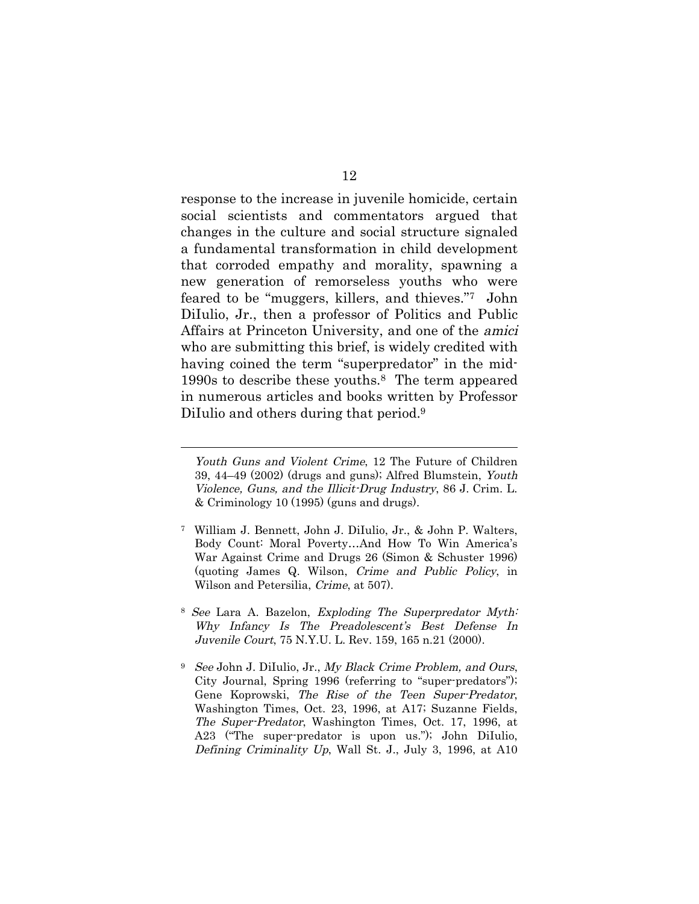response to the increase in juvenile homicide, certain social scientists and commentators argued that changes in the culture and social structure signaled a fundamental transformation in child development that corroded empathy and morality, spawning a new generation of remorseless youths who were feared to be "muggers, killers, and thieves."<sup>7</sup> John DiIulio, Jr., then a professor of Politics and Public Affairs at Princeton University, and one of the amici who are submitting this brief, is widely credited with having coined the term "superpredator" in the mid-1990s to describe these youths.<sup>8</sup> The term appeared in numerous articles and books written by Professor DiIulio and others during that period.<sup>9</sup>

- <sup>7</sup> William J. Bennett, John J. DiIulio, Jr., & John P. Walters, Body Count: Moral Poverty…And How To Win America's War Against Crime and Drugs 26 (Simon & Schuster 1996) (quoting James Q. Wilson, Crime and Public Policy, in Wilson and Petersilia, Crime, at 507).
- <sup>8</sup> See Lara A. Bazelon, Exploding The Superpredator Myth: Why Infancy Is The Preadolescent's Best Defense In Juvenile Court, 75 N.Y.U. L. Rev. 159, 165 n.21 (2000).
- <sup>9</sup> See John J. DiIulio, Jr., My Black Crime Problem, and Ours, City Journal, Spring 1996 (referring to "super-predators"); Gene Koprowski, The Rise of the Teen Super-Predator, Washington Times, Oct. 23, 1996, at A17; Suzanne Fields, The Super-Predator, Washington Times, Oct. 17, 1996, at A23 ("The super-predator is upon us."); John DiIulio, Defining Criminality Up, Wall St. J., July 3, 1996, at A10

Youth Guns and Violent Crime, 12 The Future of Children 39, 44–49 (2002) (drugs and guns); Alfred Blumstein, Youth Violence, Guns, and the Illicit-Drug Industry, 86 J. Crim. L. & Criminology 10 (1995) (guns and drugs).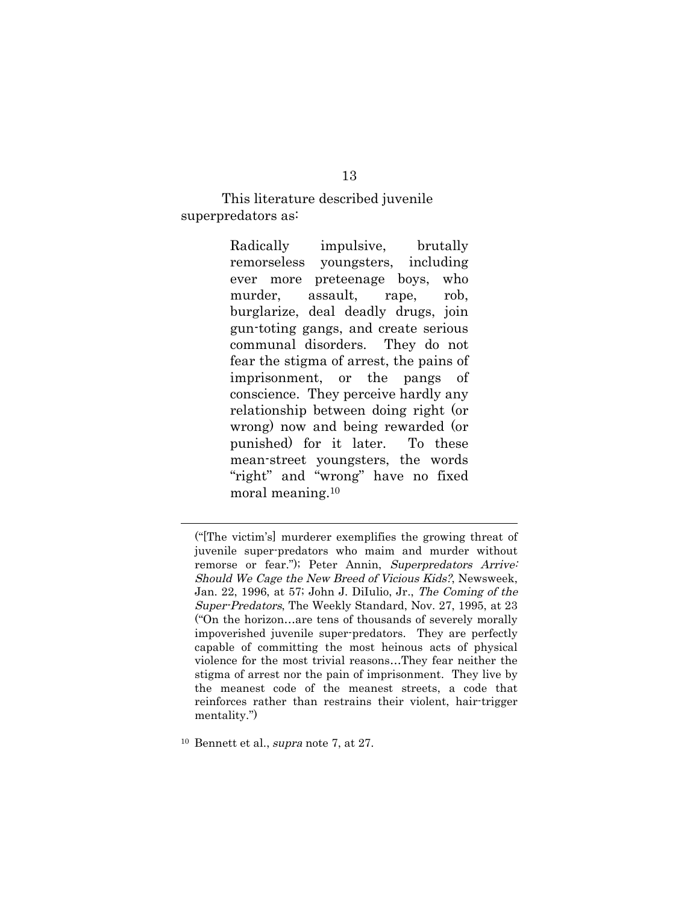This literature described juvenile superpredators as:

> Radically impulsive, brutally remorseless youngsters, including ever more preteenage boys, who murder, assault, rape, rob, burglarize, deal deadly drugs, join gun-toting gangs, and create serious communal disorders. They do not fear the stigma of arrest, the pains of imprisonment, or the pangs of conscience. They perceive hardly any relationship between doing right (or wrong) now and being rewarded (or punished) for it later. To these mean-street youngsters, the words "right" and "wrong" have no fixed moral meaning.<sup>10</sup>

<sup>10</sup> Bennett et al., supra note 7, at 27.

<sup>(&</sup>quot;[The victim's] murderer exemplifies the growing threat of juvenile super-predators who maim and murder without remorse or fear."); Peter Annin, Superpredators Arrive: Should We Cage the New Breed of Vicious Kids?, Newsweek, Jan. 22, 1996, at 57; John J. DiIulio, Jr., The Coming of the Super-Predators, The Weekly Standard, Nov. 27, 1995, at 23 ("On the horizon…are tens of thousands of severely morally impoverished juvenile super-predators. They are perfectly capable of committing the most heinous acts of physical violence for the most trivial reasons…They fear neither the stigma of arrest nor the pain of imprisonment. They live by the meanest code of the meanest streets, a code that reinforces rather than restrains their violent, hair-trigger mentality.")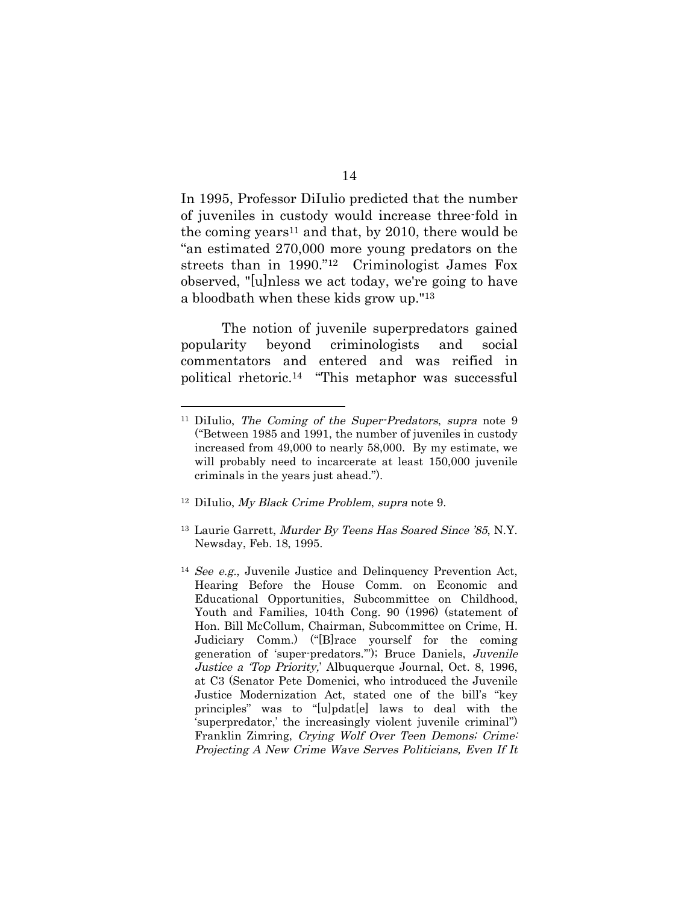In 1995, Professor DiIulio predicted that the number of juveniles in custody would increase three-fold in the coming years<sup>11</sup> and that, by 2010, there would be "an estimated 270,000 more young predators on the streets than in 1990."<sup>12</sup> Criminologist James Fox observed, "[u]nless we act today, we're going to have a bloodbath when these kids grow up."<sup>13</sup>

The notion of juvenile superpredators gained popularity beyond criminologists and social commentators and entered and was reified in political rhetoric.<sup>14</sup> "This metaphor was successful

- <sup>12</sup> DiIulio, My Black Crime Problem, supra note 9.
- <sup>13</sup> Laurie Garrett, Murder By Teens Has Soared Since '85, N.Y. Newsday, Feb. 18, 1995.
- <sup>14</sup> See e.g., Juvenile Justice and Delinquency Prevention Act, Hearing Before the House Comm. on Economic and Educational Opportunities, Subcommittee on Childhood, Youth and Families, 104th Cong. 90 (1996) (statement of Hon. Bill McCollum, Chairman, Subcommittee on Crime, H. Judiciary Comm.) ("[B]race yourself for the coming generation of 'super-predators.'"); Bruce Daniels, Juvenile Justice <sup>a</sup> 'Top Priority,' Albuquerque Journal, Oct. 8, 1996, at C3 (Senator Pete Domenici, who introduced the Juvenile Justice Modernization Act, stated one of the bill's "key principles" was to "[u]pdat[e] laws to deal with the 'superpredator,' the increasingly violent juvenile criminal") Franklin Zimring, Crying Wolf Over Teen Demons; Crime: Projecting A New Crime Wave Serves Politicians, Even If It

<sup>&</sup>lt;sup>11</sup> DiIulio, *The Coming of the Super-Predators*, *supra* note 9 ("Between 1985 and 1991, the number of juveniles in custody increased from 49,000 to nearly 58,000. By my estimate, we will probably need to incarcerate at least 150,000 juvenile criminals in the years just ahead.").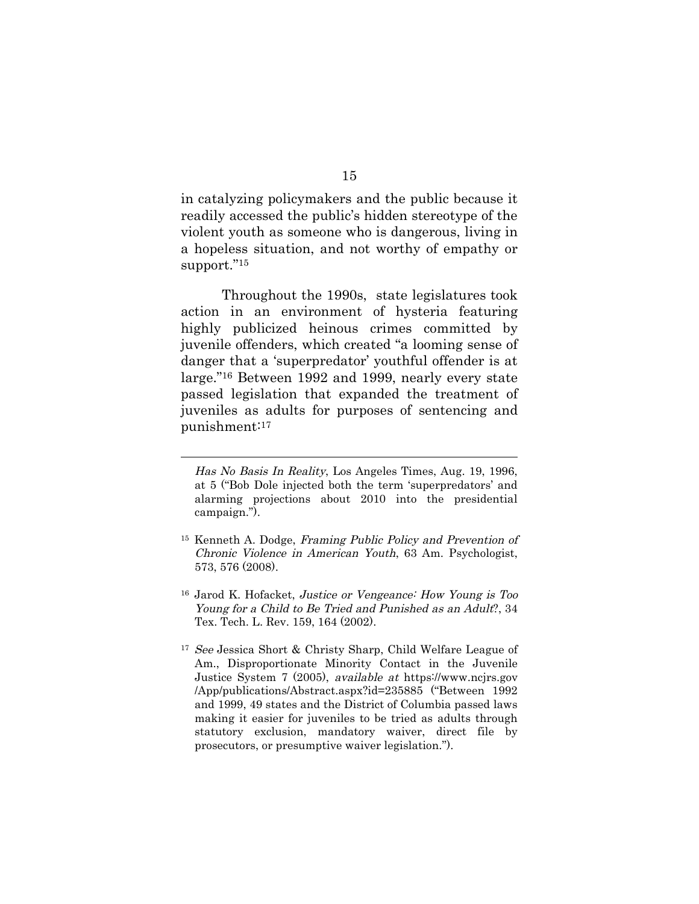in catalyzing policymakers and the public because it readily accessed the public's hidden stereotype of the violent youth as someone who is dangerous, living in a hopeless situation, and not worthy of empathy or support."<sup>15</sup>

Throughout the 1990s, state legislatures took action in an environment of hysteria featuring highly publicized heinous crimes committed by juvenile offenders, which created "a looming sense of danger that a 'superpredator' youthful offender is at large."<sup>16</sup> Between 1992 and 1999, nearly every state passed legislation that expanded the treatment of juveniles as adults for purposes of sentencing and punishment:<sup>17</sup>

Has No Basis In Reality, Los Angeles Times, Aug. 19, 1996, at 5 ("Bob Dole injected both the term 'superpredators' and alarming projections about 2010 into the presidential campaign.").

<sup>15</sup> Kenneth A. Dodge, Framing Public Policy and Prevention of Chronic Violence in American Youth, 63 Am. Psychologist, 573, 576 (2008).

<sup>16</sup> Jarod K. Hofacket, Justice or Vengeance: How Young is Too Young for <sup>a</sup> Child to Be Tried and Punished as an Adult?, 34 Tex. Tech. L. Rev. 159, 164 (2002).

<sup>&</sup>lt;sup>17</sup> See Jessica Short & Christy Sharp, Child Welfare League of Am., Disproportionate Minority Contact in the Juvenile Justice System 7 (2005), available at https://www.ncjrs.gov /App/publications/Abstract.aspx?id=235885 ("Between 1992 and 1999, 49 states and the District of Columbia passed laws making it easier for juveniles to be tried as adults through statutory exclusion, mandatory waiver, direct file by prosecutors, or presumptive waiver legislation.").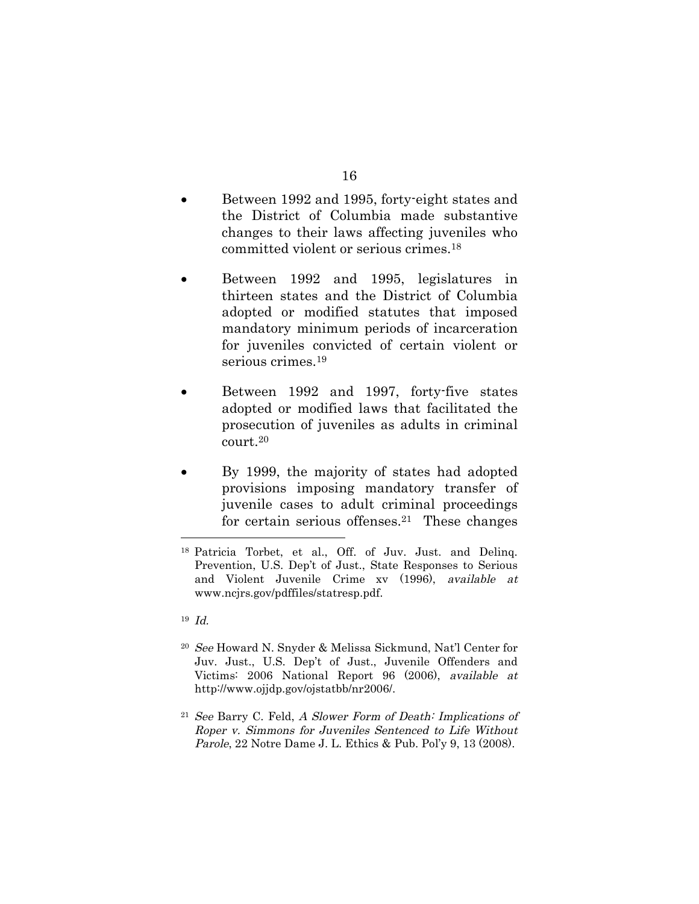- 16
- Between 1992 and 1995, forty-eight states and the District of Columbia made substantive changes to their laws affecting juveniles who committed violent or serious crimes.<sup>18</sup>
- Between 1992 and 1995, legislatures in thirteen states and the District of Columbia adopted or modified statutes that imposed mandatory minimum periods of incarceration for juveniles convicted of certain violent or serious crimes.<sup>19</sup>
- Between 1992 and 1997, forty-five states adopted or modified laws that facilitated the prosecution of juveniles as adults in criminal court.<sup>20</sup>
- By 1999, the majority of states had adopted provisions imposing mandatory transfer of juvenile cases to adult criminal proceedings for certain serious offenses.<sup>21</sup> These changes

- <sup>20</sup> See Howard N. Snyder & Melissa Sickmund, Nat'l Center for Juv. Just., U.S. Dep't of Just., Juvenile Offenders and Victims: 2006 National Report 96 (2006), available at http://www.ojjdp.gov/ojstatbb/nr2006/.
- $21$  See Barry C. Feld, A Slower Form of Death: Implications of Roper v. Simmons for Juveniles Sentenced to Life Without Parole, 22 Notre Dame J. L. Ethics & Pub. Pol'y 9, 13 (2008).

<sup>18</sup> Patricia Torbet, et al., Off. of Juv. Just. and Delinq. Prevention, U.S. Dep't of Just., State Responses to Serious and Violent Juvenile Crime xv (1996), available at www.ncjrs.gov/pdffiles/statresp.pdf.

<sup>19</sup> Id.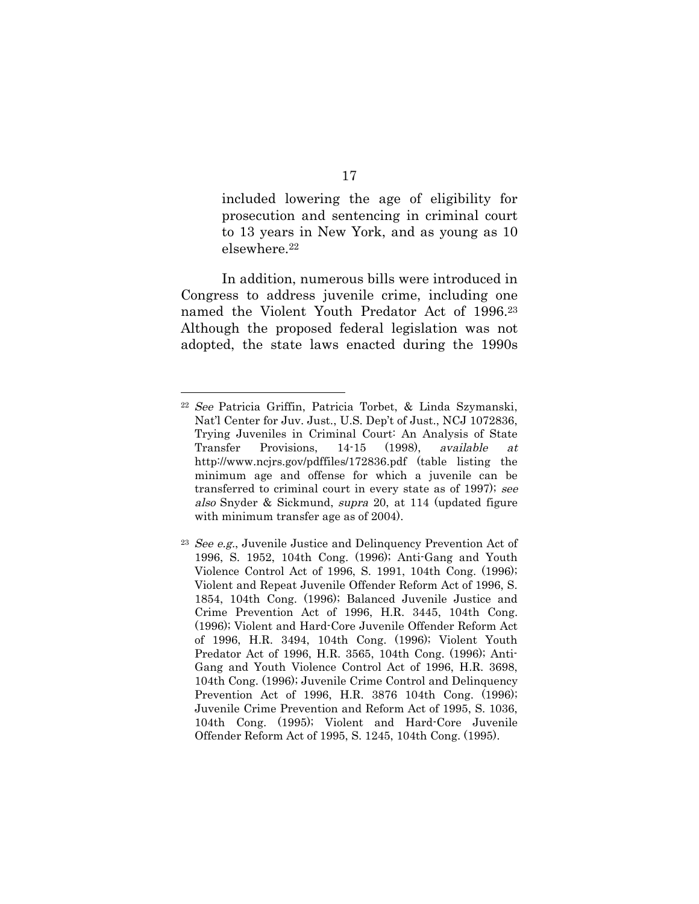included lowering the age of eligibility for prosecution and sentencing in criminal court to 13 years in New York, and as young as 10 elsewhere.<sup>22</sup>

In addition, numerous bills were introduced in Congress to address juvenile crime, including one named the Violent Youth Predator Act of 1996.<sup>23</sup> Although the proposed federal legislation was not adopted, the state laws enacted during the 1990s

<sup>22</sup> See Patricia Griffin, Patricia Torbet, & Linda Szymanski, Nat'l Center for Juv. Just., U.S. Dep't of Just., NCJ 1072836, Trying Juveniles in Criminal Court: An Analysis of State Transfer Provisions, 14-15 (1998), available at http://www.ncjrs.gov/pdffiles/172836.pdf (table listing the minimum age and offense for which a juvenile can be transferred to criminal court in every state as of 1997); see also Snyder & Sickmund, supra 20, at 114 (updated figure with minimum transfer age as of 2004).

<sup>23</sup> See e.g., Juvenile Justice and Delinquency Prevention Act of 1996, S. 1952, 104th Cong. (1996); Anti-Gang and Youth Violence Control Act of 1996, S. 1991, 104th Cong. (1996); Violent and Repeat Juvenile Offender Reform Act of 1996, S. 1854, 104th Cong. (1996); Balanced Juvenile Justice and Crime Prevention Act of 1996, H.R. 3445, 104th Cong. (1996); Violent and Hard-Core Juvenile Offender Reform Act of 1996, H.R. 3494, 104th Cong. (1996); Violent Youth Predator Act of 1996, H.R. 3565, 104th Cong. (1996); Anti-Gang and Youth Violence Control Act of 1996, H.R. 3698, 104th Cong. (1996); Juvenile Crime Control and Delinquency Prevention Act of 1996, H.R. 3876 104th Cong. (1996); Juvenile Crime Prevention and Reform Act of 1995, S. 1036, 104th Cong. (1995); Violent and Hard-Core Juvenile Offender Reform Act of 1995, S. 1245, 104th Cong. (1995).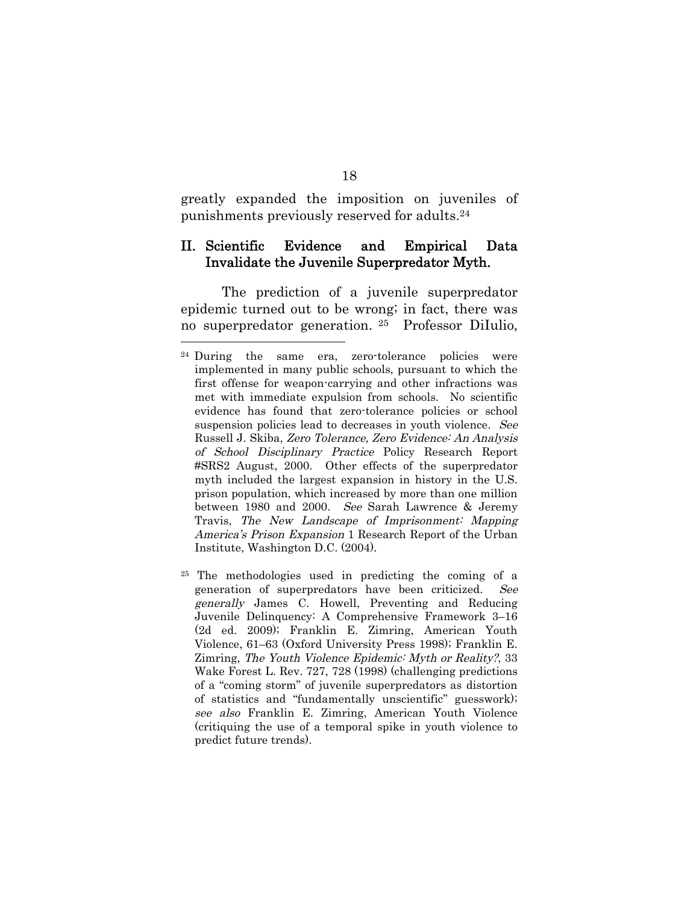greatly expanded the imposition on juveniles of punishments previously reserved for adults.<sup>24</sup>

#### II. Scientific Evidence and Empirical Data Invalidate the Juvenile Superpredator Myth.

The prediction of a juvenile superpredator epidemic turned out to be wrong; in fact, there was no superpredator generation. <sup>25</sup> Professor DiIulio,

<sup>24</sup> During the same era, zero-tolerance policies were implemented in many public schools, pursuant to which the first offense for weapon-carrying and other infractions was met with immediate expulsion from schools. No scientific evidence has found that zero-tolerance policies or school suspension policies lead to decreases in youth violence. See Russell J. Skiba, Zero Tolerance, Zero Evidence: An Analysis of School Disciplinary Practice Policy Research Report #SRS2 August, 2000. Other effects of the superpredator myth included the largest expansion in history in the U.S. prison population, which increased by more than one million between 1980 and 2000. See Sarah Lawrence & Jeremy Travis, The New Landscape of Imprisonment: Mapping America's Prison Expansion 1 Research Report of the Urban Institute, Washington D.C. (2004).

<sup>25</sup> The methodologies used in predicting the coming of a generation of superpredators have been criticized. See generally James C. Howell, Preventing and Reducing Juvenile Delinquency: A Comprehensive Framework 3–16 (2d ed. 2009); Franklin E. Zimring, American Youth Violence, 61–63 (Oxford University Press 1998); Franklin E. Zimring, The Youth Violence Epidemic: Myth or Reality?, 33 Wake Forest L. Rev. 727, 728 (1998) (challenging predictions of a "coming storm" of juvenile superpredators as distortion of statistics and "fundamentally unscientific" guesswork); see also Franklin E. Zimring, American Youth Violence (critiquing the use of a temporal spike in youth violence to predict future trends).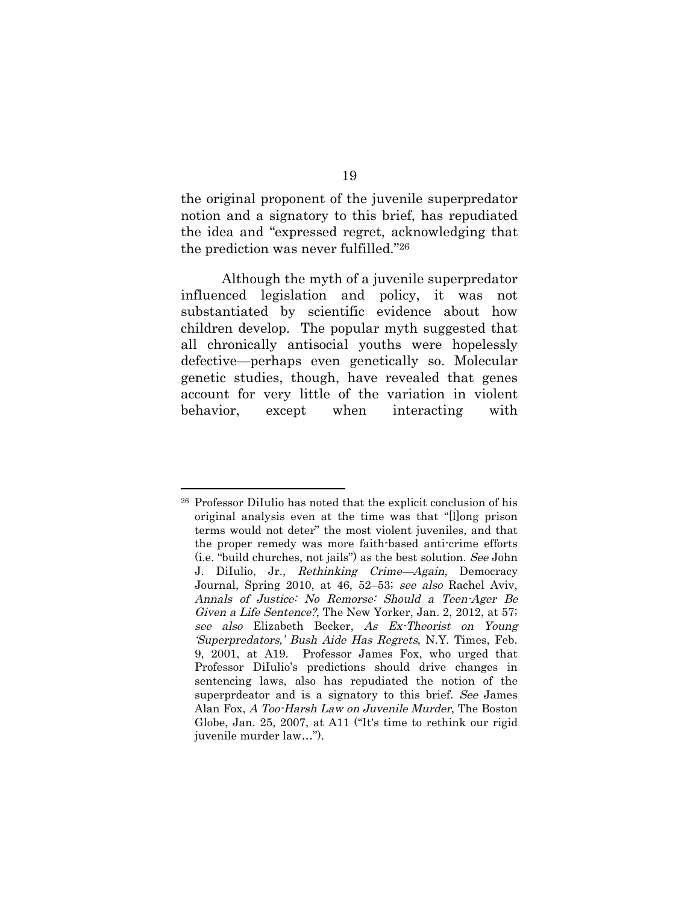the original proponent of the juvenile superpredator notion and a signatory to this brief, has repudiated the idea and "expressed regret, acknowledging that the prediction was never fulfilled."<sup>26</sup>

Although the myth of a juvenile superpredator influenced legislation and policy, it was not substantiated by scientific evidence about how children develop. The popular myth suggested that all chronically antisocial youths were hopelessly defective—perhaps even genetically so. Molecular genetic studies, though, have revealed that genes account for very little of the variation in violent behavior, except when interacting with

<sup>26</sup> Professor DiIulio has noted that the explicit conclusion of his original analysis even at the time was that "[l]ong prison terms would not deter" the most violent juveniles, and that the proper remedy was more faith-based anti-crime efforts (i.e. "build churches, not jails") as the best solution. See John J. DiIulio, Jr., Rethinking Crime—Again, Democracy Journal, Spring 2010, at 46, 52–53; see also Rachel Aviv, Annals of Justice: No Remorse: Should <sup>a</sup> Teen-Ager Be Given <sup>a</sup> Life Sentence?, The New Yorker, Jan. 2, 2012, at 57; see also Elizabeth Becker, As Ex-Theorist on Young 'Superpredators,' Bush Aide Has Regrets, N.Y. Times, Feb. 9, 2001, at A19. Professor James Fox, who urged that Professor DiIulio's predictions should drive changes in sentencing laws, also has repudiated the notion of the superprdeator and is a signatory to this brief. See James Alan Fox, A Too-Harsh Law on Juvenile Murder, The Boston Globe, Jan. 25, 2007, at A11 ("It's time to rethink our rigid juvenile murder law…").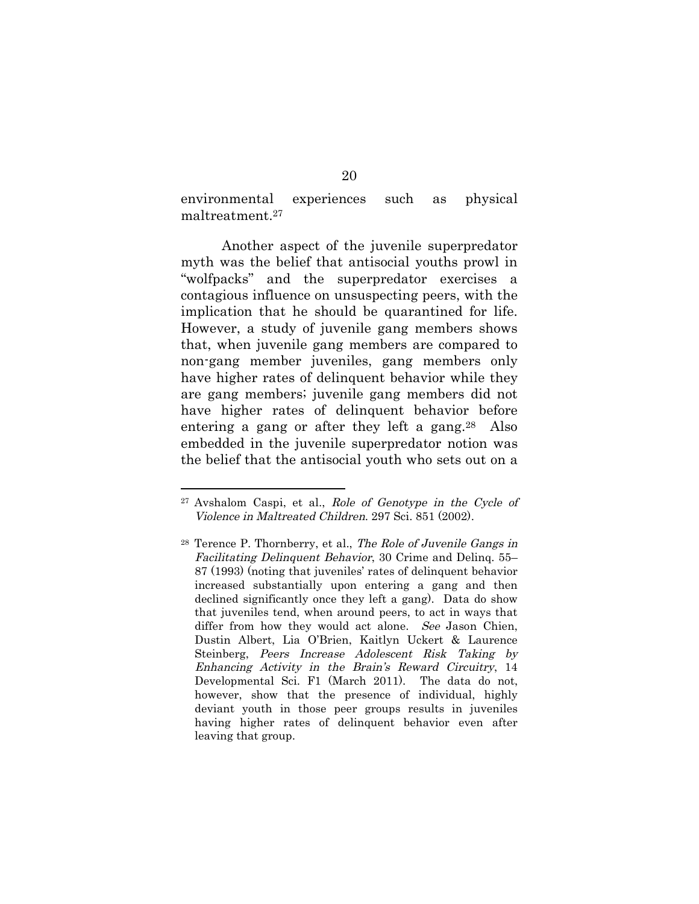environmental experiences such as physical maltreatment.<sup>27</sup>

Another aspect of the juvenile superpredator myth was the belief that antisocial youths prowl in "wolfpacks" and the superpredator exercises a contagious influence on unsuspecting peers, with the implication that he should be quarantined for life. However, a study of juvenile gang members shows that, when juvenile gang members are compared to non-gang member juveniles, gang members only have higher rates of delinquent behavior while they are gang members; juvenile gang members did not have higher rates of delinquent behavior before entering a gang or after they left a gang.<sup>28</sup> Also embedded in the juvenile superpredator notion was the belief that the antisocial youth who sets out on a

<sup>27</sup> Avshalom Caspi, et al., Role of Genotype in the Cycle of Violence in Maltreated Children. 297 Sci. 851 (2002).

<sup>28</sup> Terence P. Thornberry, et al., The Role of Juvenile Gangs in Facilitating Delinquent Behavior, 30 Crime and Delinq. 55– 87 (1993) (noting that juveniles' rates of delinquent behavior increased substantially upon entering a gang and then declined significantly once they left a gang). Data do show that juveniles tend, when around peers, to act in ways that differ from how they would act alone. See Jason Chien, Dustin Albert, Lia O'Brien, Kaitlyn Uckert & Laurence Steinberg, Peers Increase Adolescent Risk Taking by Enhancing Activity in the Brain's Reward Circuitry, 14 Developmental Sci. F1 (March 2011). The data do not, however, show that the presence of individual, highly deviant youth in those peer groups results in juveniles having higher rates of delinquent behavior even after leaving that group.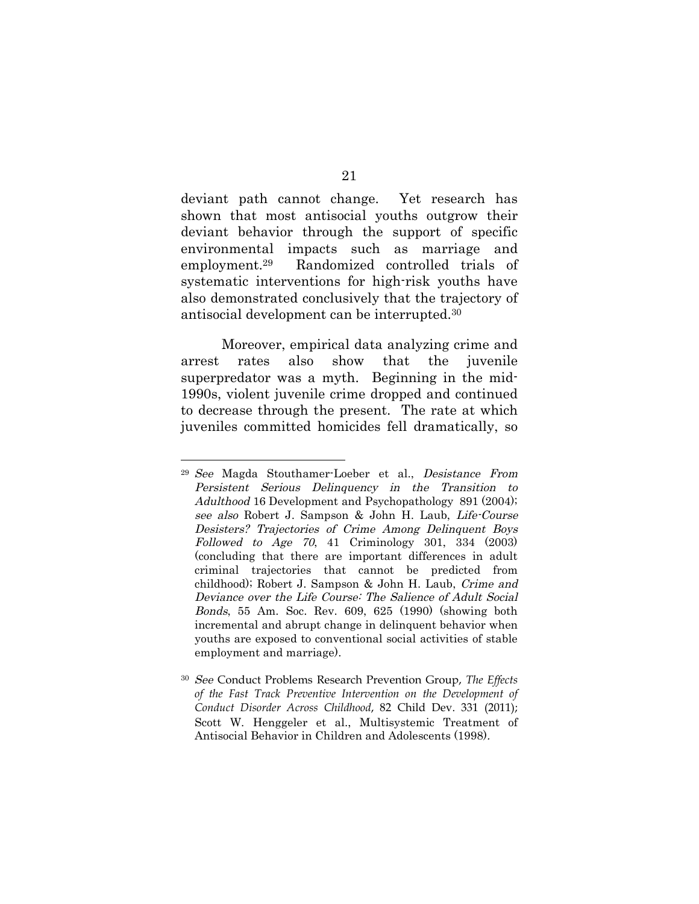deviant path cannot change. Yet research has shown that most antisocial youths outgrow their deviant behavior through the support of specific environmental impacts such as marriage and employment.<sup>29</sup> Randomized controlled trials of systematic interventions for high-risk youths have also demonstrated conclusively that the trajectory of antisocial development can be interrupted.<sup>30</sup>

Moreover, empirical data analyzing crime and arrest rates also show that the juvenile superpredator was a myth. Beginning in the mid-1990s, violent juvenile crime dropped and continued to decrease through the present. The rate at which juveniles committed homicides fell dramatically, so

<sup>29</sup> See Magda Stouthamer-Loeber et al., Desistance From Persistent Serious Delinquency in the Transition to Adulthood 16 Development and Psychopathology 891 (2004); see also Robert J. Sampson & John H. Laub, Life-Course Desisters? Trajectories of Crime Among Delinquent Boys  $Followinged to Age 70, 41 Criminology 301, 334 (2003)$ (concluding that there are important differences in adult criminal trajectories that cannot be predicted from childhood); Robert J. Sampson & John H. Laub, Crime and Deviance over the Life Course: The Salience of Adult Social Bonds, 55 Am. Soc. Rev. 609, 625 (1990) (showing both incremental and abrupt change in delinquent behavior when youths are exposed to conventional social activities of stable employment and marriage).

<sup>30</sup> See Conduct Problems Research Prevention Group, *The Effects of the Fast Track Preventive Intervention on the Development of Conduct Disorder Across Childhood*, 82 Child Dev. 331 (2011); Scott W. Henggeler et al., Multisystemic Treatment of Antisocial Behavior in Children and Adolescents (1998).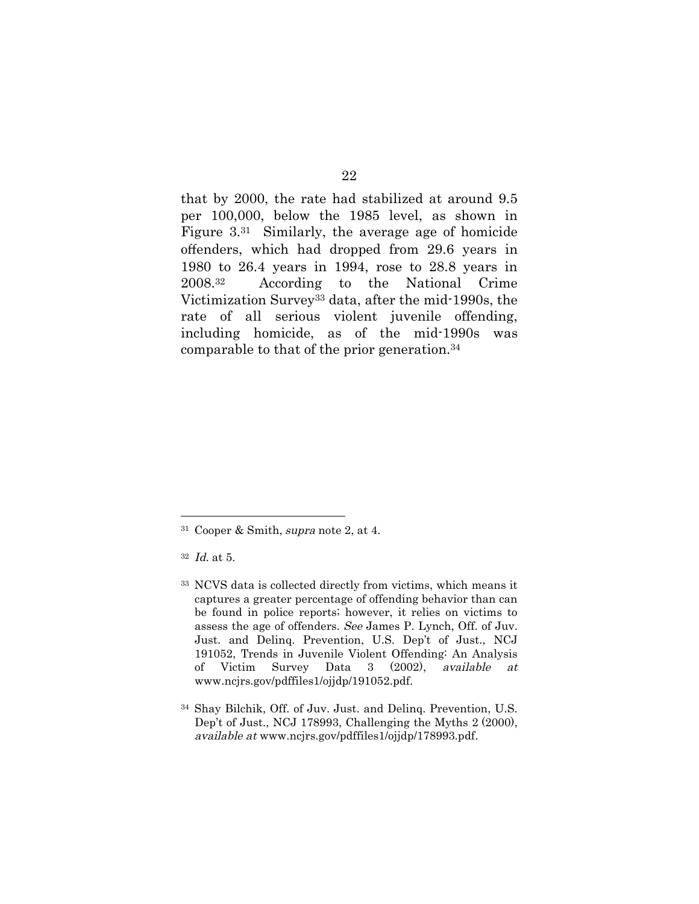that by 2000, the rate had stabilized at around 9.5 per 100,000, below the 1985 level, as shown in Figure 3.<sup>31</sup> Similarly, the average age of homicide offenders, which had dropped from 29.6 years in 1980 to 26.4 years in 1994, rose to 28.8 years in 2008.<sup>32</sup> According to the National Crime Victimization Survey<sup>33</sup> data, after the mid-1990s, the rate of all serious violent juvenile offending, including homicide, as of the mid-1990s was comparable to that of the prior generation.<sup>34</sup>

<sup>31</sup> Cooper & Smith, supra note 2, at 4.

<sup>32</sup> Id. at 5.

<sup>33</sup> NCVS data is collected directly from victims, which means it captures a greater percentage of offending behavior than can be found in police reports; however, it relies on victims to assess the age of offenders. See James P. Lynch, Off. of Juv. Just. and Delinq. Prevention, U.S. Dep't of Just., NCJ 191052, Trends in Juvenile Violent Offending: An Analysis of Victim Survey Data 3 (2002), available at www.ncjrs.gov/pdffiles1/ojjdp/191052.pdf.

<sup>34</sup> Shay Bilchik, Off. of Juv. Just. and Delinq. Prevention, U.S. Dep't of Just., NCJ 178993, Challenging the Myths 2 (2000), available at www.ncjrs.gov/pdffiles1/ojjdp/178993.pdf.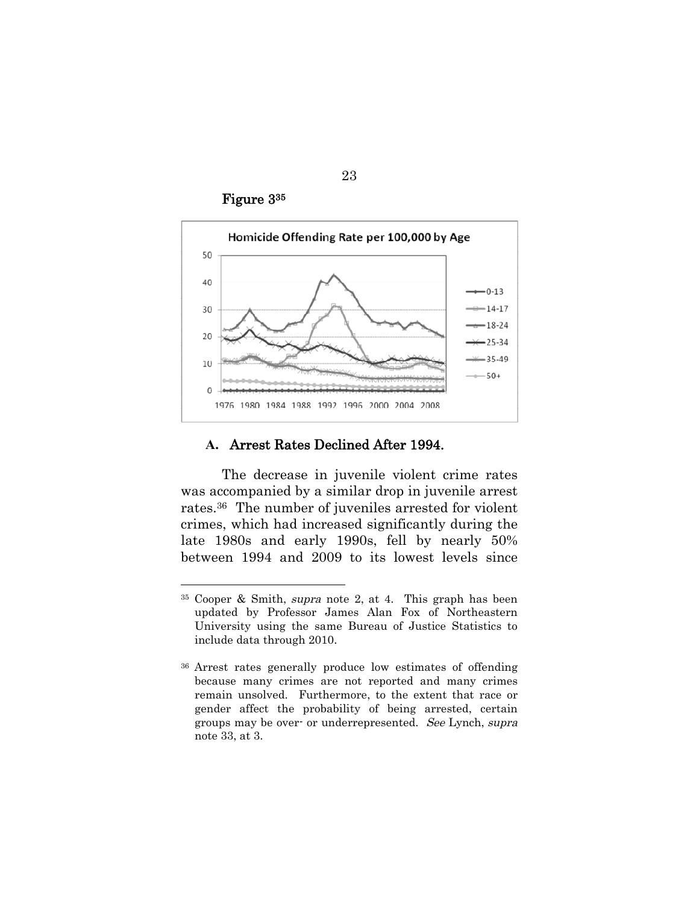Figure 3<sup>35</sup>



#### **A.** Arrest Rates Declined After 1994.

The decrease in juvenile violent crime rates was accompanied by a similar drop in juvenile arrest rates.<sup>36</sup> The number of juveniles arrested for violent crimes, which had increased significantly during the late 1980s and early 1990s, fell by nearly 50% between 1994 and 2009 to its lowest levels since

<sup>35</sup> Cooper & Smith, supra note 2, at 4. This graph has been updated by Professor James Alan Fox of Northeastern University using the same Bureau of Justice Statistics to include data through 2010.

<sup>36</sup> Arrest rates generally produce low estimates of offending because many crimes are not reported and many crimes remain unsolved. Furthermore, to the extent that race or gender affect the probability of being arrested, certain groups may be over- or underrepresented. See Lynch, supra note 33, at 3.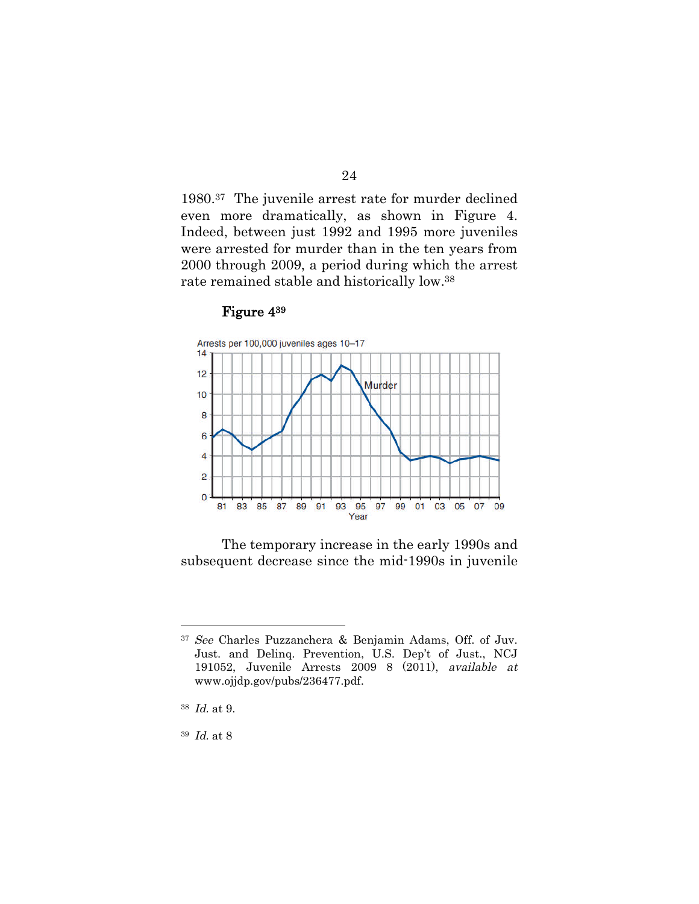1980.<sup>37</sup> The juvenile arrest rate for murder declined even more dramatically, as shown in Figure 4. Indeed, between just 1992 and 1995 more juveniles were arrested for murder than in the ten years from 2000 through 2009, a period during which the arrest rate remained stable and historically low.<sup>38</sup>

#### Figure 4<sup>39</sup>



The temporary increase in the early 1990s and subsequent decrease since the mid-1990s in juvenile

<sup>37</sup> See Charles Puzzanchera & Benjamin Adams, Off. of Juv. Just. and Delinq. Prevention, U.S. Dep't of Just., NCJ 191052, Juvenile Arrests 2009 8 (2011), available at www.ojjdp.gov/pubs/236477.pdf.

<sup>38</sup> Id. at 9.

<sup>39</sup> Id. at 8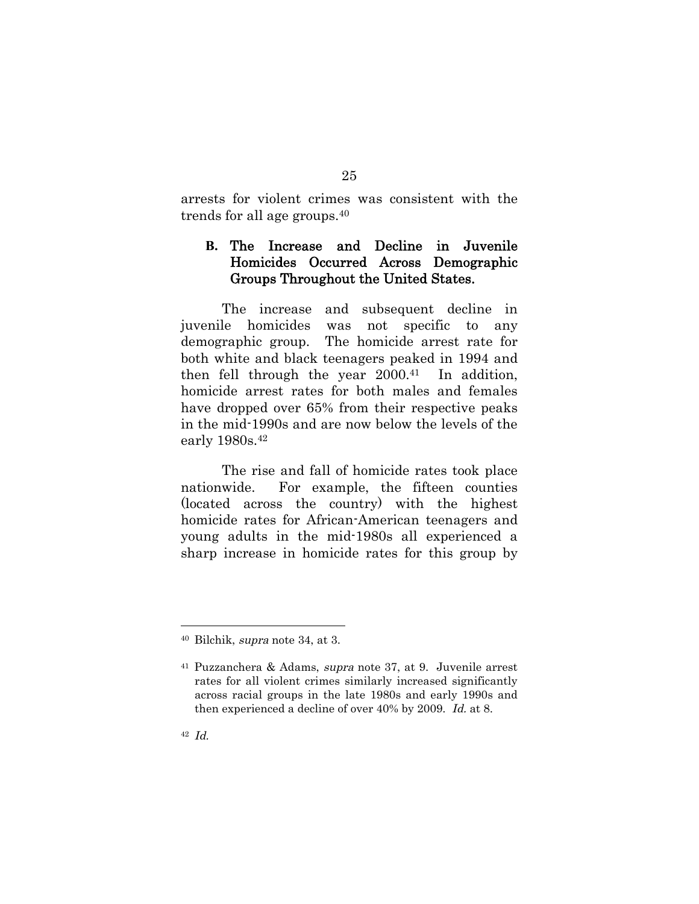arrests for violent crimes was consistent with the trends for all age groups.<sup>40</sup>

# **B.** The Increase and Decline in Juvenile Homicides Occurred Across Demographic Groups Throughout the United States.

The increase and subsequent decline in juvenile homicides was not specific to any demographic group. The homicide arrest rate for both white and black teenagers peaked in 1994 and then fell through the year  $2000^{41}$  In addition, homicide arrest rates for both males and females have dropped over 65% from their respective peaks in the mid-1990s and are now below the levels of the early 1980s.<sup>42</sup>

The rise and fall of homicide rates took place nationwide. For example, the fifteen counties (located across the country) with the highest homicide rates for African-American teenagers and young adults in the mid-1980s all experienced a sharp increase in homicide rates for this group by

<sup>40</sup> Bilchik, supra note 34, at 3.

<sup>41</sup> Puzzanchera & Adams, supra note 37, at 9. Juvenile arrest rates for all violent crimes similarly increased significantly across racial groups in the late 1980s and early 1990s and then experienced a decline of over 40% by 2009. Id. at 8.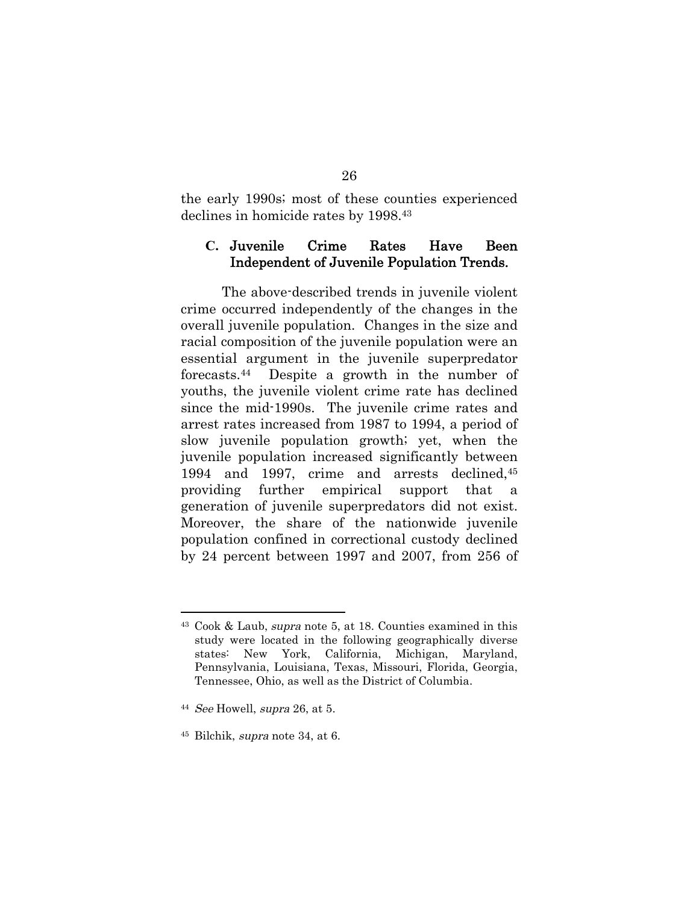the early 1990s; most of these counties experienced declines in homicide rates by 1998.<sup>43</sup>

### **C.** Juvenile Crime Rates Have Been Independent of Juvenile Population Trends.

The above-described trends in juvenile violent crime occurred independently of the changes in the overall juvenile population. Changes in the size and racial composition of the juvenile population were an essential argument in the juvenile superpredator forecasts.<sup>44</sup> Despite a growth in the number of youths, the juvenile violent crime rate has declined since the mid-1990s. The juvenile crime rates and arrest rates increased from 1987 to 1994, a period of slow juvenile population growth; yet, when the juvenile population increased significantly between 1994 and 1997, crime and arrests declined,<sup>45</sup> providing further empirical support that a generation of juvenile superpredators did not exist. Moreover, the share of the nationwide juvenile population confined in correctional custody declined by 24 percent between 1997 and 2007, from 256 of

<sup>43</sup> Cook & Laub, supra note 5, at 18. Counties examined in this study were located in the following geographically diverse states: New York, California, Michigan, Maryland, Pennsylvania, Louisiana, Texas, Missouri, Florida, Georgia, Tennessee, Ohio, as well as the District of Columbia.

 $44$  See Howell, supra 26, at 5.

<sup>45</sup> Bilchik, supra note 34, at 6.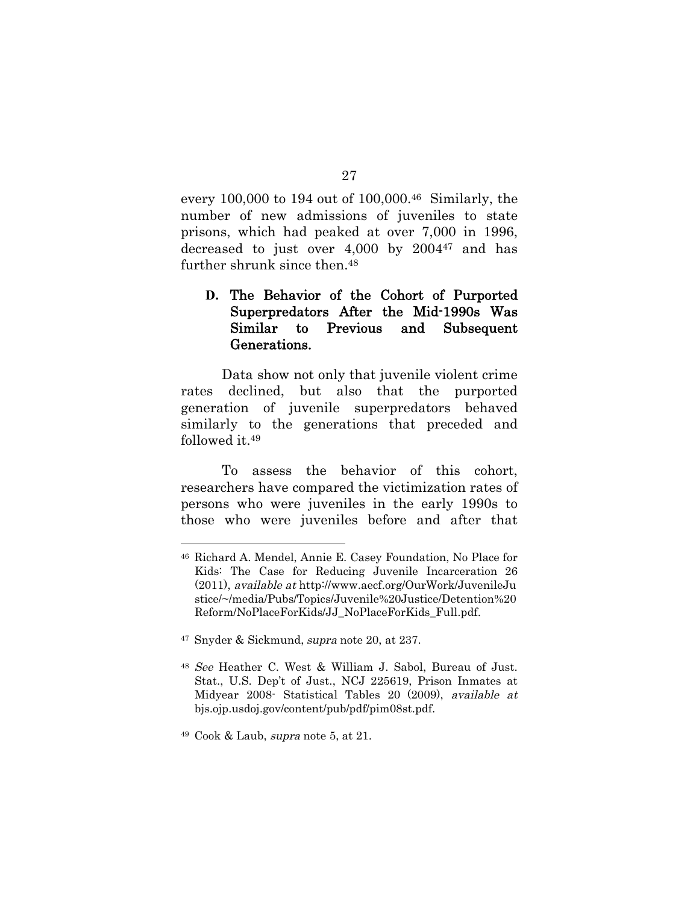every 100,000 to 194 out of 100,000.<sup>46</sup> Similarly, the number of new admissions of juveniles to state prisons, which had peaked at over 7,000 in 1996, decreased to just over 4,000 by 2004<sup>47</sup> and has further shrunk since then.<sup>48</sup>

## **D.** The Behavior of the Cohort of Purported Superpredators After the Mid-1990s Was Similar to Previous and Subsequent Generations.

Data show not only that juvenile violent crime rates declined, but also that the purported generation of juvenile superpredators behaved similarly to the generations that preceded and followed it.<sup>49</sup>

To assess the behavior of this cohort, researchers have compared the victimization rates of persons who were juveniles in the early 1990s to those who were juveniles before and after that

<sup>47</sup> Snyder & Sickmund, supra note 20, at 237.

<sup>46</sup> Richard A. Mendel, Annie E. Casey Foundation, No Place for Kids: The Case for Reducing Juvenile Incarceration 26 (2011), available at http://www.aecf.org/OurWork/JuvenileJu stice/~/media/Pubs/Topics/Juvenile%20Justice/Detention%20 Reform/NoPlaceForKids/JJ\_NoPlaceForKids\_Full.pdf.

<sup>48</sup> See Heather C. West & William J. Sabol, Bureau of Just. Stat., U.S. Dep't of Just., NCJ 225619, Prison Inmates at Midyear 2008- Statistical Tables 20 (2009), available at bjs.ojp.usdoj.gov/content/pub/pdf/pim08st.pdf.

<sup>49</sup> Cook & Laub, supra note 5, at 21.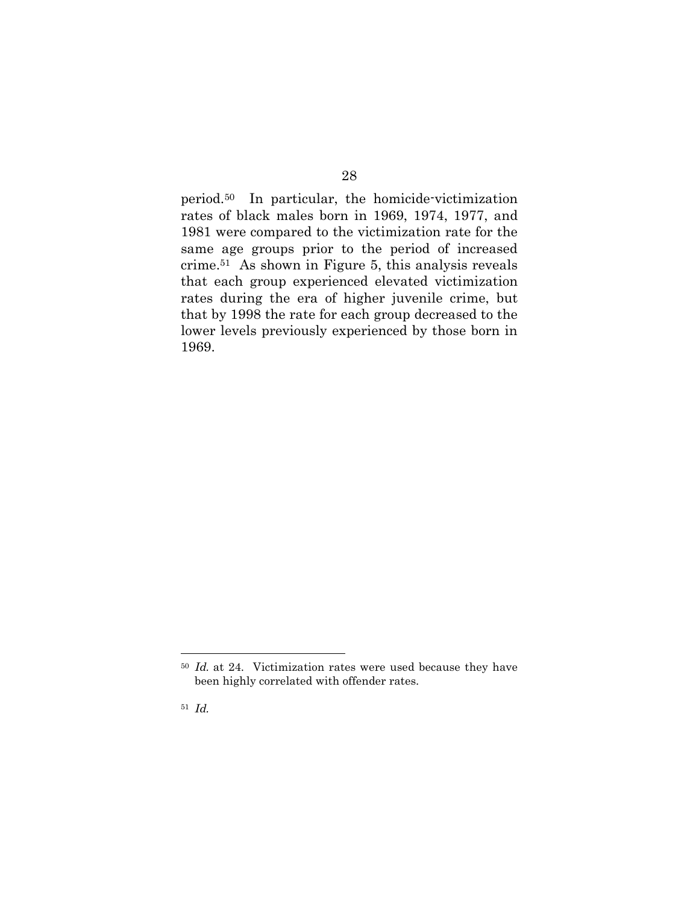period.<sup>50</sup> In particular, the homicide-victimization rates of black males born in 1969, 1974, 1977, and 1981 were compared to the victimization rate for the same age groups prior to the period of increased crime.<sup>51</sup> As shown in Figure 5, this analysis reveals that each group experienced elevated victimization rates during the era of higher juvenile crime, but that by 1998 the rate for each group decreased to the lower levels previously experienced by those born in 1969.

<sup>50</sup> Id. at 24. Victimization rates were used because they have been highly correlated with offender rates.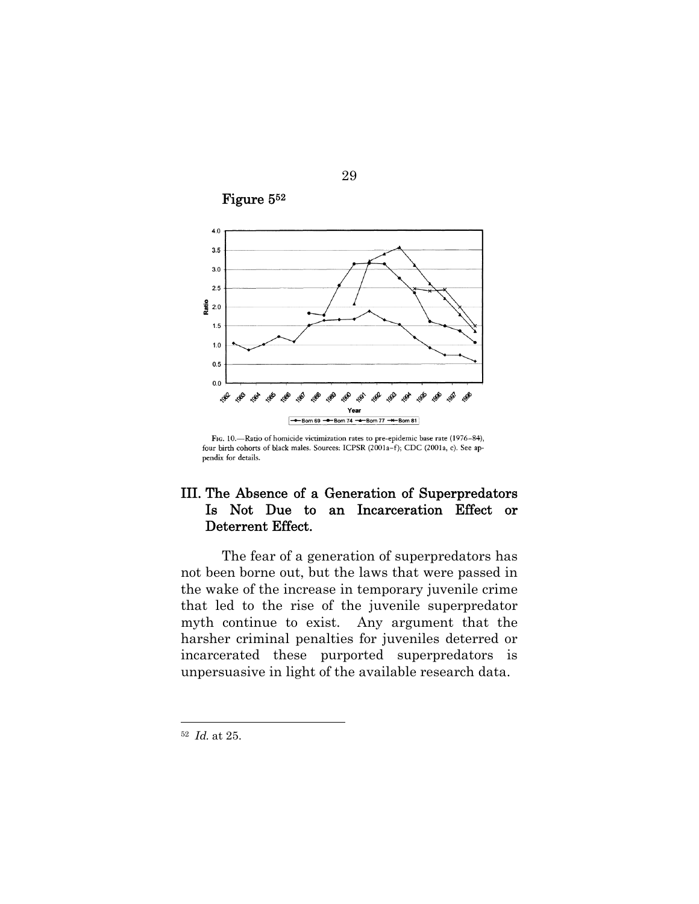

29

Figure 5<sup>52</sup>

FIG. 10.-Ratio of homicide victimization rates to pre-epidemic base rate (1976-84), four birth cohorts of black males. Sources: ICPSR (2001a-f); CDC (2001a, c). See appendix for details.

# III. The Absence of a Generation of Superpredators Is Not Due to an Incarceration Effect or Deterrent Effect.

The fear of a generation of superpredators has not been borne out, but the laws that were passed in the wake of the increase in temporary juvenile crime that led to the rise of the juvenile superpredator myth continue to exist. Any argument that the harsher criminal penalties for juveniles deterred or incarcerated these purported superpredators is unpersuasive in light of the available research data.

<sup>52</sup> Id. at 25.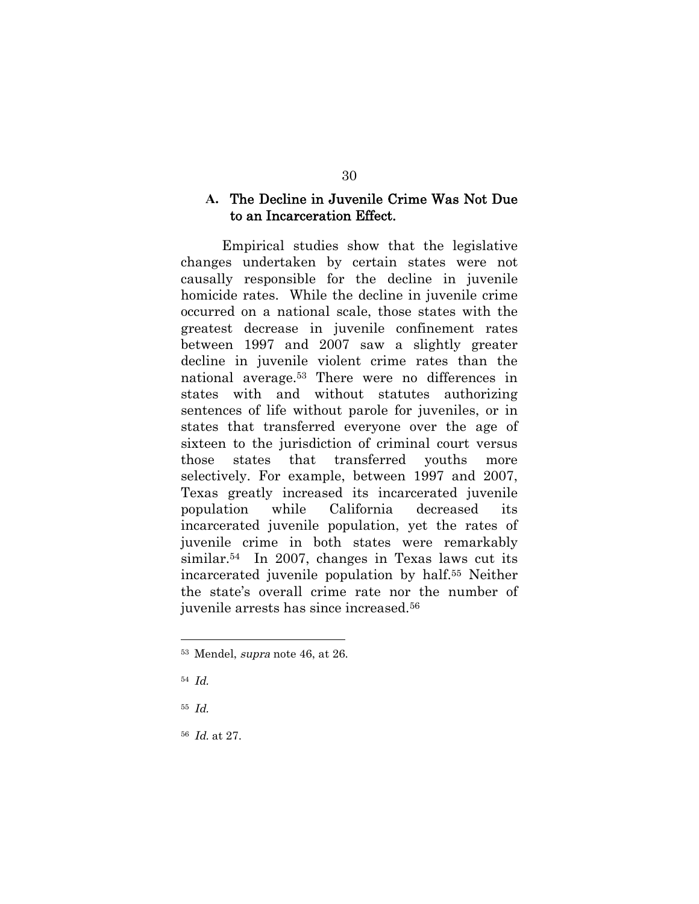### **A.** The Decline in Juvenile Crime Was Not Due to an Incarceration Effect.

Empirical studies show that the legislative changes undertaken by certain states were not causally responsible for the decline in juvenile homicide rates. While the decline in juvenile crime occurred on a national scale, those states with the greatest decrease in juvenile confinement rates between 1997 and 2007 saw a slightly greater decline in juvenile violent crime rates than the national average.<sup>53</sup> There were no differences in states with and without statutes authorizing sentences of life without parole for juveniles, or in states that transferred everyone over the age of sixteen to the jurisdiction of criminal court versus those states that transferred youths more selectively. For example, between 1997 and 2007, Texas greatly increased its incarcerated juvenile population while California decreased its incarcerated juvenile population, yet the rates of juvenile crime in both states were remarkably similar.<sup>54</sup> In 2007, changes in Texas laws cut its incarcerated juvenile population by half.<sup>55</sup> Neither the state's overall crime rate nor the number of juvenile arrests has since increased.<sup>56</sup>

55 Id.

<sup>56</sup> Id. at 27.

<sup>53</sup> Mendel, supra note 46, at 26.

<sup>54</sup> Id.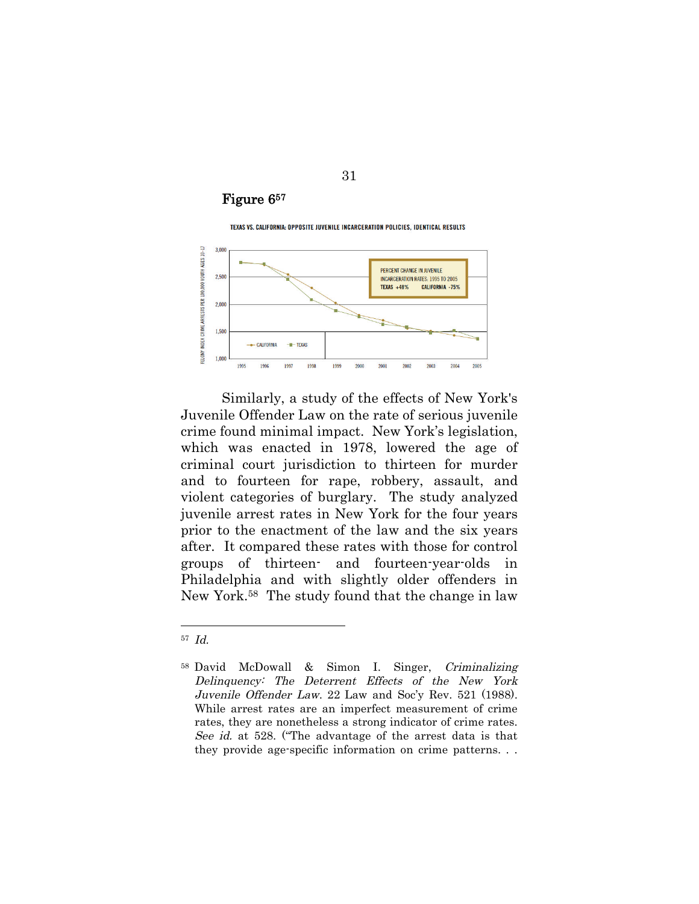## Figure 6<sup>57</sup>

TEXAS VS. CALIFORNIA: OPPOSITE JUVENILE INCARCERATION POLICIES, IDENTICAL RESULTS



Similarly, a study of the effects of New York's Juvenile Offender Law on the rate of serious juvenile crime found minimal impact. New York's legislation, which was enacted in 1978, lowered the age of criminal court jurisdiction to thirteen for murder and to fourteen for rape, robbery, assault, and violent categories of burglary. The study analyzed juvenile arrest rates in New York for the four years prior to the enactment of the law and the six years after. It compared these rates with those for control groups of thirteen- and fourteen-year-olds in Philadelphia and with slightly older offenders in New York.<sup>58</sup> The study found that the change in law

<sup>57</sup> Id.

<sup>58</sup> David McDowall & Simon I. Singer, Criminalizing Delinquency: The Deterrent Effects of the New York Juvenile Offender Law. 22 Law and Soc'y Rev. 521 (1988). While arrest rates are an imperfect measurement of crime rates, they are nonetheless a strong indicator of crime rates. See id. at 528. ("The advantage of the arrest data is that they provide age-specific information on crime patterns. . .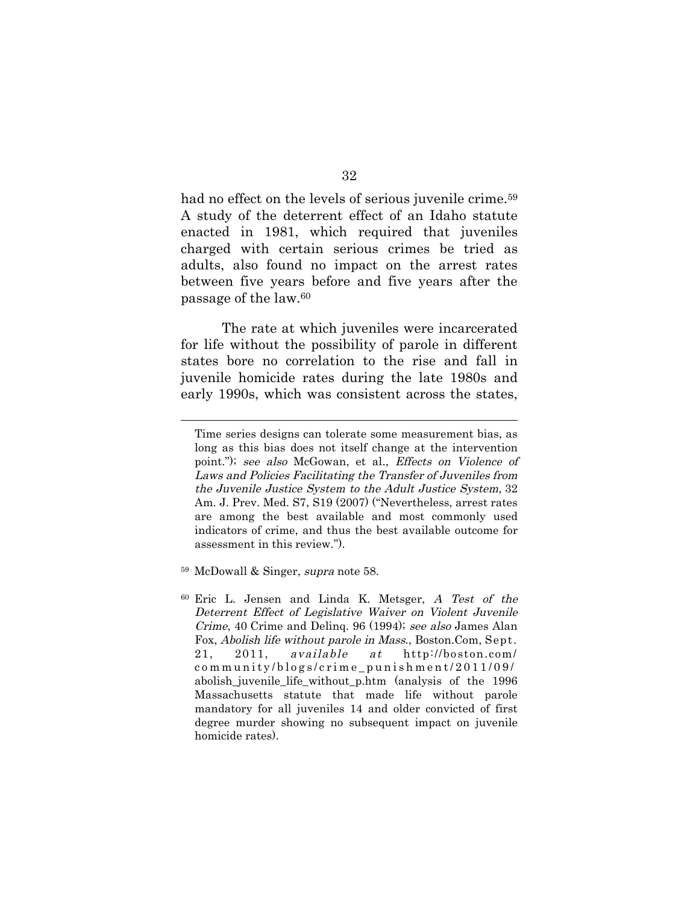had no effect on the levels of serious juvenile crime.<sup>59</sup> A study of the deterrent effect of an Idaho statute enacted in 1981, which required that juveniles charged with certain serious crimes be tried as adults, also found no impact on the arrest rates between five years before and five years after the passage of the law.<sup>60</sup>

The rate at which juveniles were incarcerated for life without the possibility of parole in different states bore no correlation to the rise and fall in juvenile homicide rates during the late 1980s and early 1990s, which was consistent across the states,

Time series designs can tolerate some measurement bias, as long as this bias does not itself change at the intervention point."); see also McGowan, et al., Effects on Violence of Laws and Policies Facilitating the Transfer of Juveniles from the Juvenile Justice System to the Adult Justice System, 32 Am. J. Prev. Med. S7, S19 (2007) ("Nevertheless, arrest rates are among the best available and most commonly used indicators of crime, and thus the best available outcome for assessment in this review.").

<sup>59</sup> McDowall & Singer, supra note 58.

<sup>60</sup> Eric L. Jensen and Linda K. Metsger, A Test of the Deterrent Effect of Legislative Waiver on Violent Juvenile Crime, 40 Crime and Delinq. 96 (1994); see also James Alan Fox, Abolish life without parole in Mass., Boston.Com, Sept. 21, 2011, available at http://boston.com/ c o m m u n i t y / b l o g s / c r i m e \_ p u n i s h m e n t / 2 0 1 1 / 0 9 / abolish\_juvenile\_life\_without\_p.htm (analysis of the 1996 Massachusetts statute that made life without parole mandatory for all juveniles 14 and older convicted of first degree murder showing no subsequent impact on juvenile homicide rates).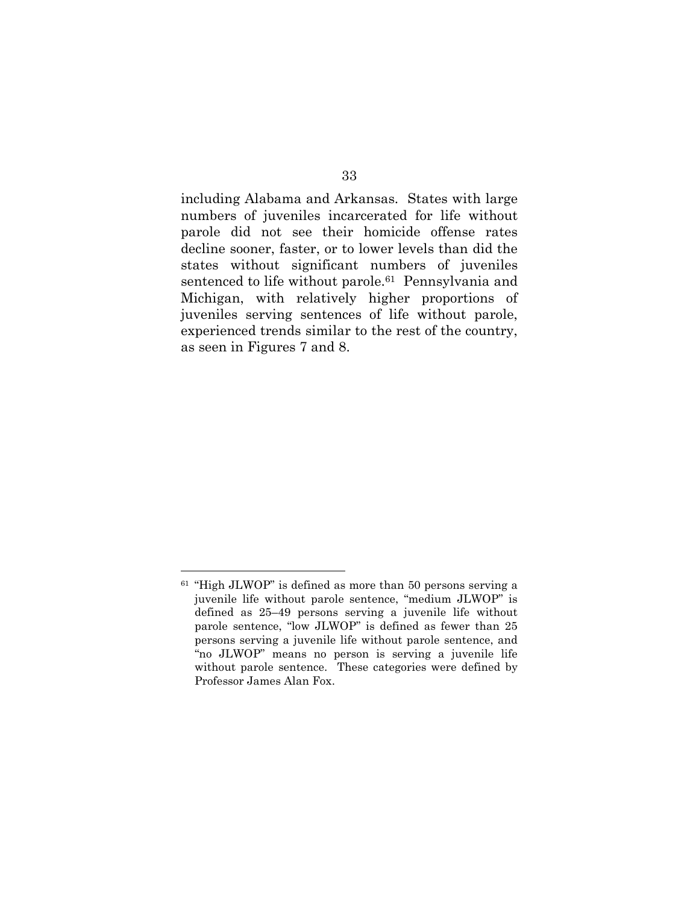including Alabama and Arkansas. States with large numbers of juveniles incarcerated for life without parole did not see their homicide offense rates decline sooner, faster, or to lower levels than did the states without significant numbers of juveniles sentenced to life without parole.<sup>61</sup> Pennsylvania and Michigan, with relatively higher proportions of juveniles serving sentences of life without parole, experienced trends similar to the rest of the country, as seen in Figures 7 and 8.

<sup>61</sup> "High JLWOP" is defined as more than 50 persons serving a juvenile life without parole sentence, "medium JLWOP" is defined as 25–49 persons serving a juvenile life without parole sentence, "low JLWOP" is defined as fewer than 25 persons serving a juvenile life without parole sentence, and "no JLWOP" means no person is serving a juvenile life without parole sentence. These categories were defined by Professor James Alan Fox.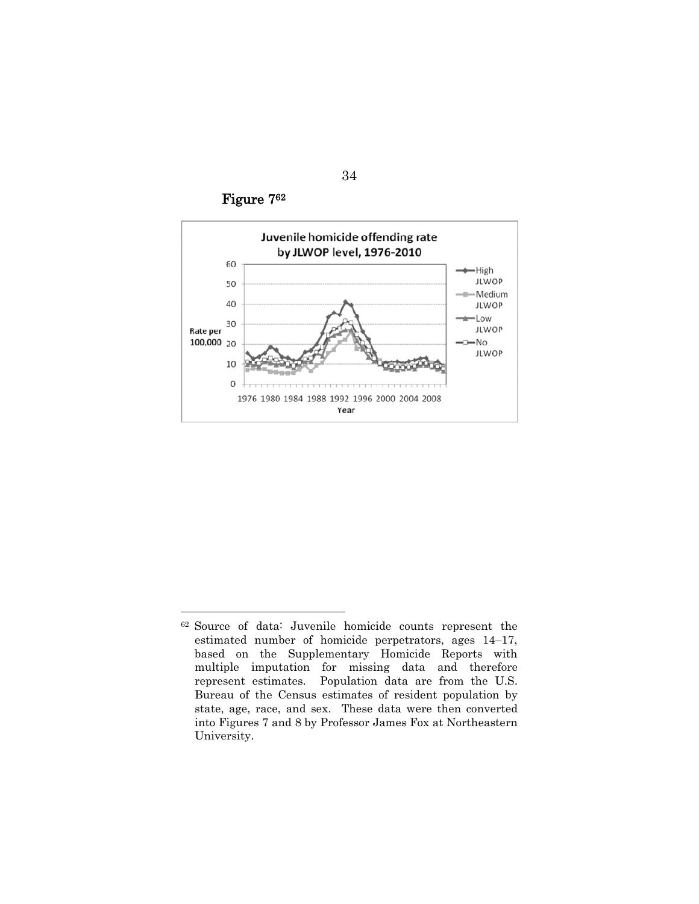Figure 7<sup>62</sup>



<sup>62</sup> Source of data: Juvenile homicide counts represent the estimated number of homicide perpetrators, ages 14–17, based on the Supplementary Homicide Reports with multiple imputation for missing data and therefore represent estimates. Population data are from the U.S. Bureau of the Census estimates of resident population by state, age, race, and sex. These data were then converted into Figures 7 and 8 by Professor James Fox at Northeastern University.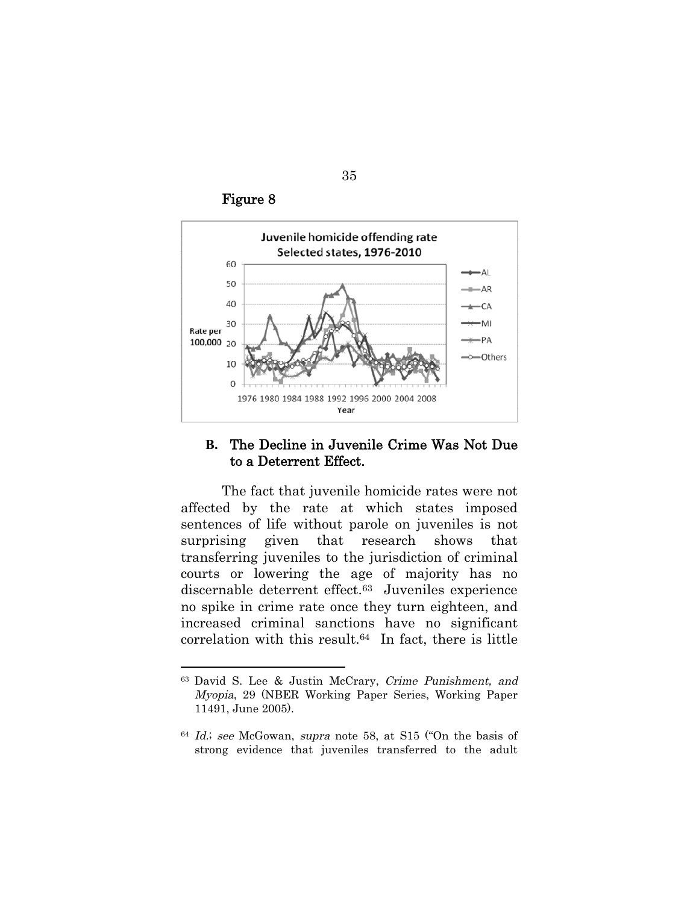Figure 8



#### **B.** The Decline in Juvenile Crime Was Not Due to a Deterrent Effect.

The fact that juvenile homicide rates were not affected by the rate at which states imposed sentences of life without parole on juveniles is not surprising given that research shows that transferring juveniles to the jurisdiction of criminal courts or lowering the age of majority has no discernable deterrent effect.<sup>63</sup> Juveniles experience no spike in crime rate once they turn eighteen, and increased criminal sanctions have no significant correlation with this result.<sup>64</sup> In fact, there is little

<sup>63</sup> David S. Lee & Justin McCrary, Crime Punishment, and Myopia, 29 (NBER Working Paper Series, Working Paper 11491, June 2005).

<sup>64</sup> Id.; see McGowan, supra note 58, at S15 ("On the basis of strong evidence that juveniles transferred to the adult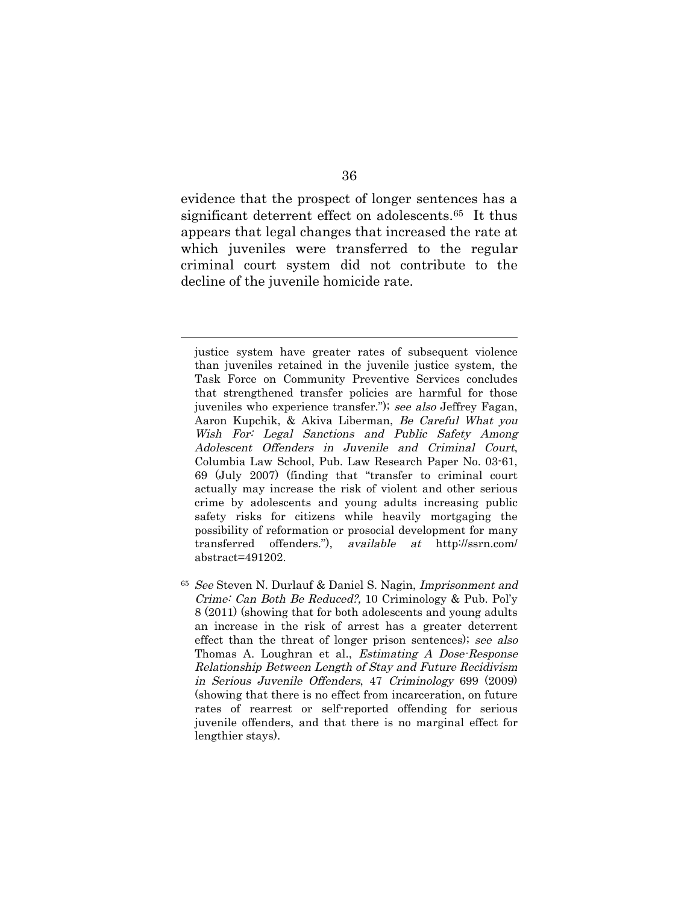evidence that the prospect of longer sentences has a significant deterrent effect on adolescents.<sup>65</sup> It thus appears that legal changes that increased the rate at which juveniles were transferred to the regular criminal court system did not contribute to the decline of the juvenile homicide rate.

justice system have greater rates of subsequent violence than juveniles retained in the juvenile justice system, the Task Force on Community Preventive Services concludes that strengthened transfer policies are harmful for those juveniles who experience transfer."); see also Jeffrey Fagan, Aaron Kupchik, & Akiva Liberman, Be Careful What you Wish For: Legal Sanctions and Public Safety Among Adolescent Offenders in Juvenile and Criminal Court, Columbia Law School, Pub. Law Research Paper No. 03-61, 69 (July 2007) (finding that "transfer to criminal court actually may increase the risk of violent and other serious crime by adolescents and young adults increasing public safety risks for citizens while heavily mortgaging the possibility of reformation or prosocial development for many transferred offenders."), available at http://ssrn.com/ abstract=491202.

<sup>65</sup> See Steven N. Durlauf & Daniel S. Nagin, Imprisonment and Crime: Can Both Be Reduced?, 10 Criminology & Pub. Pol'y 8 (2011) (showing that for both adolescents and young adults an increase in the risk of arrest has a greater deterrent effect than the threat of longer prison sentences); see also Thomas A. Loughran et al., Estimating A Dose-Response Relationship Between Length of Stay and Future Recidivism in Serious Juvenile Offenders, 47 Criminology 699 (2009) (showing that there is no effect from incarceration, on future rates of rearrest or self-reported offending for serious juvenile offenders, and that there is no marginal effect for lengthier stays).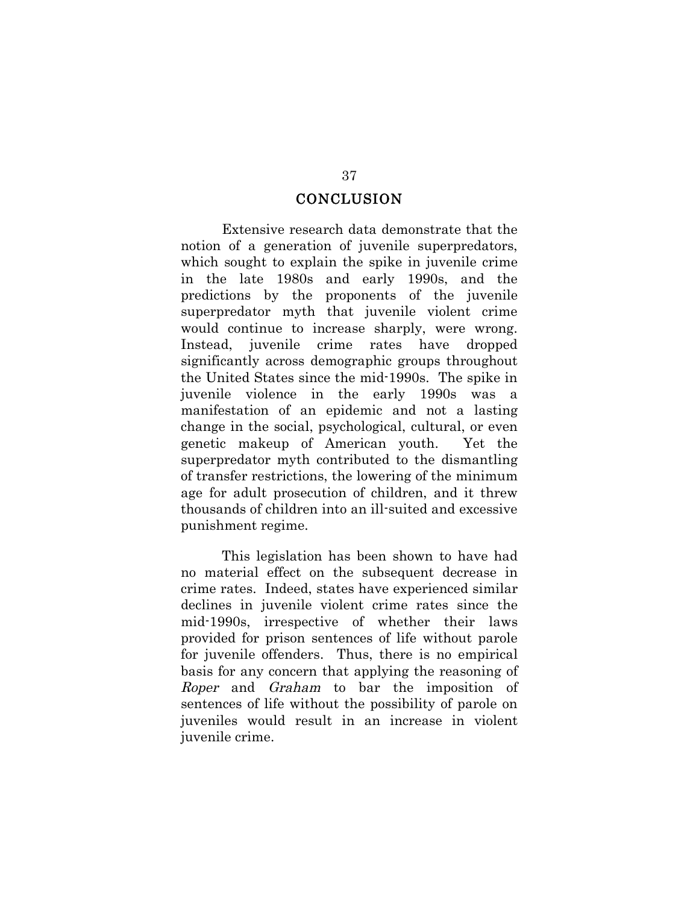#### **CONCLUSION**

Extensive research data demonstrate that the notion of a generation of juvenile superpredators, which sought to explain the spike in juvenile crime in the late 1980s and early 1990s, and the predictions by the proponents of the juvenile superpredator myth that juvenile violent crime would continue to increase sharply, were wrong. Instead, juvenile crime rates have dropped significantly across demographic groups throughout the United States since the mid-1990s. The spike in juvenile violence in the early 1990s was a manifestation of an epidemic and not a lasting change in the social, psychological, cultural, or even genetic makeup of American youth. Yet the superpredator myth contributed to the dismantling of transfer restrictions, the lowering of the minimum age for adult prosecution of children, and it threw thousands of children into an ill-suited and excessive punishment regime.

This legislation has been shown to have had no material effect on the subsequent decrease in crime rates. Indeed, states have experienced similar declines in juvenile violent crime rates since the mid-1990s, irrespective of whether their laws provided for prison sentences of life without parole for juvenile offenders. Thus, there is no empirical basis for any concern that applying the reasoning of Roper and Graham to bar the imposition of sentences of life without the possibility of parole on juveniles would result in an increase in violent juvenile crime.